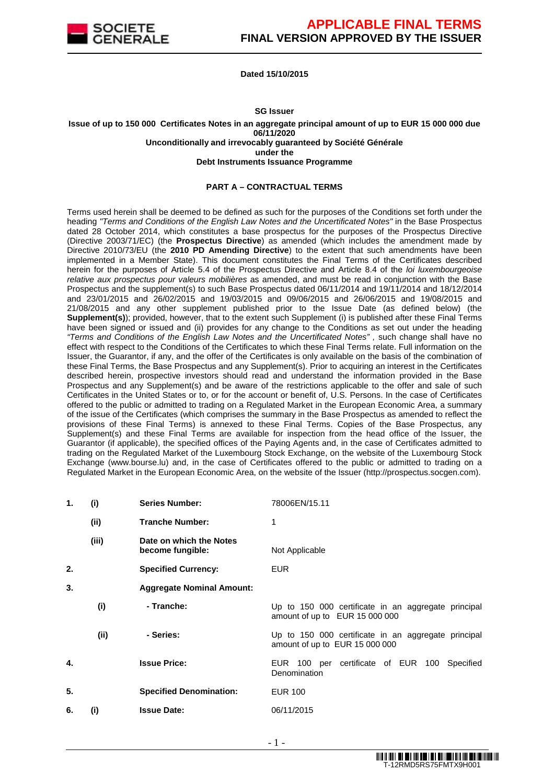

**Dated 15/10/2015**

#### **SG Issuer**

**Issue of up to 150 000 Certificates Notes in an aggregate principal amount of up to EUR 15 000 000 due 06/11/2020 Unconditionally and irrevocably guaranteed by Société Générale under the Debt Instruments Issuance Programme**

### **PART A – CONTRACTUAL TERMS**

Terms used herein shall be deemed to be defined as such for the purposes of the Conditions set forth under the heading "Terms and Conditions of the English Law Notes and the Uncertificated Notes" in the Base Prospectus dated 28 October 2014, which constitutes a base prospectus for the purposes of the Prospectus Directive (Directive 2003/71/EC) (the **Prospectus Directive**) as amended (which includes the amendment made by Directive 2010/73/EU (the **2010 PD Amending Directive**) to the extent that such amendments have been implemented in a Member State). This document constitutes the Final Terms of the Certificates described herein for the purposes of Article 5.4 of the Prospectus Directive and Article 8.4 of the loi luxembourgeoise relative aux prospectus pour valeurs mobilières as amended, and must be read in conjunction with the Base Prospectus and the supplement(s) to such Base Prospectus dated 06/11/2014 and 19/11/2014 and 18/12/2014 and 23/01/2015 and 26/02/2015 and 19/03/2015 and 09/06/2015 and 26/06/2015 and 19/08/2015 and 21/08/2015 and any other supplement published prior to the Issue Date (as defined below) (the **Supplement(s)**); provided, however, that to the extent such Supplement (i) is published after these Final Terms have been signed or issued and (ii) provides for any change to the Conditions as set out under the heading "Terms and Conditions of the English Law Notes and the Uncertificated Notes" , such change shall have no effect with respect to the Conditions of the Certificates to which these Final Terms relate. Full information on the Issuer, the Guarantor, if any, and the offer of the Certificates is only available on the basis of the combination of these Final Terms, the Base Prospectus and any Supplement(s). Prior to acquiring an interest in the Certificates described herein, prospective investors should read and understand the information provided in the Base Prospectus and any Supplement(s) and be aware of the restrictions applicable to the offer and sale of such Certificates in the United States or to, or for the account or benefit of, U.S. Persons. In the case of Certificates offered to the public or admitted to trading on a Regulated Market in the European Economic Area, a summary of the issue of the Certificates (which comprises the summary in the Base Prospectus as amended to reflect the provisions of these Final Terms) is annexed to these Final Terms. Copies of the Base Prospectus, any Supplement(s) and these Final Terms are available for inspection from the head office of the Issuer, the Guarantor (if applicable), the specified offices of the Paying Agents and, in the case of Certificates admitted to trading on the Regulated Market of the Luxembourg Stock Exchange, on the website of the Luxembourg Stock Exchange (www.bourse.lu) and, in the case of Certificates offered to the public or admitted to trading on a Regulated Market in the European Economic Area, on the website of the Issuer (http://prospectus.socgen.com).

| 1. | (i)   | <b>Series Number:</b>                       | 78006EN/15.11                                                                         |
|----|-------|---------------------------------------------|---------------------------------------------------------------------------------------|
|    | (ii)  | <b>Tranche Number:</b>                      |                                                                                       |
|    | (iii) | Date on which the Notes<br>become fungible: | Not Applicable                                                                        |
| 2. |       | <b>Specified Currency:</b>                  | <b>EUR</b>                                                                            |
| 3. |       | <b>Aggregate Nominal Amount:</b>            |                                                                                       |
|    | (i)   | - Tranche:                                  | Up to 150 000 certificate in an aggregate principal<br>amount of up to EUR 15 000 000 |
|    | (ii)  | - Series:                                   | Up to 150 000 certificate in an aggregate principal<br>amount of up to EUR 15 000 000 |
| 4. |       | <b>Issue Price:</b>                         | EUR 100 per certificate of EUR 100 Specified<br>Denomination                          |
| 5. |       | <b>Specified Denomination:</b>              | <b>EUR 100</b>                                                                        |
| 6. | (i)   | <b>Issue Date:</b>                          | 06/11/2015                                                                            |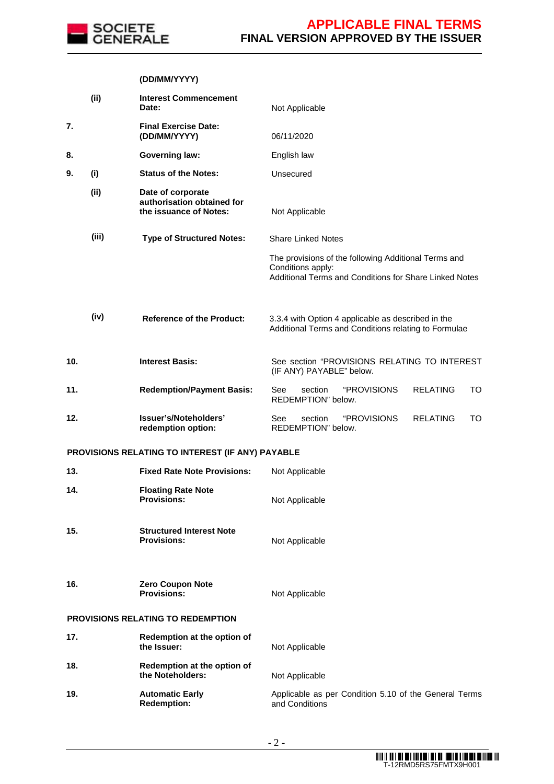

### **(DD/MM/YYYY)**

|     | (ii)  | <b>Interest Commencement</b><br>Date:                                     | Not Applicable                                                                                                                      |
|-----|-------|---------------------------------------------------------------------------|-------------------------------------------------------------------------------------------------------------------------------------|
| 7.  |       | <b>Final Exercise Date:</b><br>(DD/MM/YYYY)                               | 06/11/2020                                                                                                                          |
| 8.  |       | <b>Governing law:</b>                                                     | English law                                                                                                                         |
| 9.  | (i)   | <b>Status of the Notes:</b>                                               | Unsecured                                                                                                                           |
|     | (i)   | Date of corporate<br>authorisation obtained for<br>the issuance of Notes: | Not Applicable                                                                                                                      |
|     | (iii) | <b>Type of Structured Notes:</b>                                          | <b>Share Linked Notes</b>                                                                                                           |
|     |       |                                                                           | The provisions of the following Additional Terms and<br>Conditions apply:<br>Additional Terms and Conditions for Share Linked Notes |
|     | (iv)  | <b>Reference of the Product:</b>                                          | 3.3.4 with Option 4 applicable as described in the<br>Additional Terms and Conditions relating to Formulae                          |
| 10. |       | <b>Interest Basis:</b>                                                    | See section "PROVISIONS RELATING TO INTEREST<br>(IF ANY) PAYABLE" below.                                                            |
| 11. |       | <b>Redemption/Payment Basis:</b>                                          | "PROVISIONS<br><b>RELATING</b><br>See<br>section<br>TO<br>REDEMPTION" below.                                                        |
| 12. |       | Issuer's/Noteholders'<br>redemption option:                               | "PROVISIONS<br><b>RELATING</b><br><b>TO</b><br>section<br>See<br>REDEMPTION" below.                                                 |
|     |       | PROVISIONS RELATING TO INTEREST (IF ANY) PAYABLE                          |                                                                                                                                     |
| 13. |       | <b>Fixed Rate Note Provisions:</b>                                        | Not Applicable                                                                                                                      |
| 14. |       | <b>Floating Rate Note</b><br><b>Provisions:</b>                           | Not Applicable                                                                                                                      |
| 15. |       | <b>Structured Interest Note</b><br><b>Provisions:</b>                     | Not Applicable                                                                                                                      |
| 16. |       | <b>Zero Coupon Note</b><br><b>Provisions:</b>                             | Not Applicable                                                                                                                      |
|     |       | <b>PROVISIONS RELATING TO REDEMPTION</b>                                  |                                                                                                                                     |
| 17. |       | Redemption at the option of<br>the Issuer:                                | Not Applicable                                                                                                                      |
| 18. |       | Redemption at the option of<br>the Noteholders:                           | Not Applicable                                                                                                                      |
| 19. |       | <b>Automatic Early</b><br><b>Redemption:</b>                              | Applicable as per Condition 5.10 of the General Terms<br>and Conditions                                                             |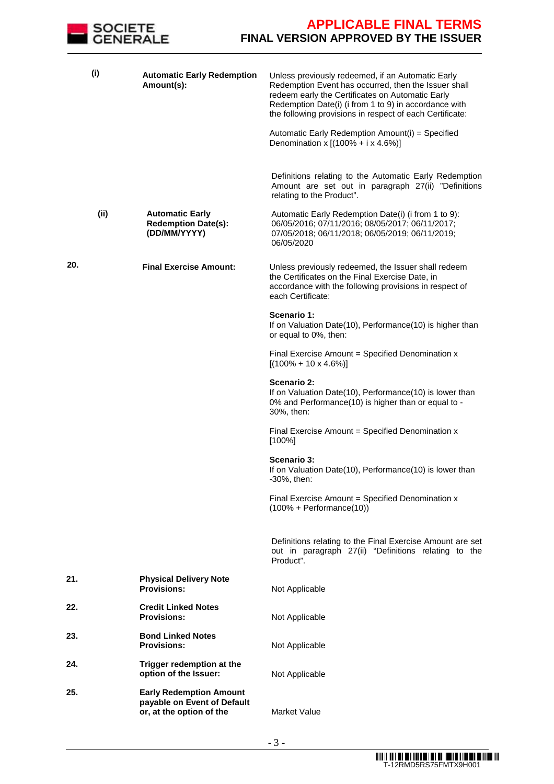

| (i)  | <b>Automatic Early Redemption</b><br>Amount(s):                                           | Unless previously redeemed, if an Automatic Early<br>Redemption Event has occurred, then the Issuer shall<br>redeem early the Certificates on Automatic Early<br>Redemption Date(i) (i from 1 to 9) in accordance with<br>the following provisions in respect of each Certificate: |
|------|-------------------------------------------------------------------------------------------|------------------------------------------------------------------------------------------------------------------------------------------------------------------------------------------------------------------------------------------------------------------------------------|
|      |                                                                                           | Automatic Early Redemption Amount(i) = Specified<br>Denomination x $[(100\% + i \times 4.6\%)]$<br>Definitions relating to the Automatic Early Redemption<br>Amount are set out in paragraph 27(ii) "Definitions                                                                   |
|      |                                                                                           | relating to the Product".                                                                                                                                                                                                                                                          |
| (ii) | <b>Automatic Early</b><br><b>Redemption Date(s):</b><br>(DD/MM/YYYY)                      | Automatic Early Redemption Date(i) (i from 1 to 9):<br>06/05/2016; 07/11/2016; 08/05/2017; 06/11/2017;<br>07/05/2018; 06/11/2018; 06/05/2019; 06/11/2019;<br>06/05/2020                                                                                                            |
| 20.  | <b>Final Exercise Amount:</b>                                                             | Unless previously redeemed, the Issuer shall redeem<br>the Certificates on the Final Exercise Date, in<br>accordance with the following provisions in respect of<br>each Certificate:                                                                                              |
|      |                                                                                           | Scenario 1:<br>If on Valuation Date(10), Performance(10) is higher than<br>or equal to 0%, then:                                                                                                                                                                                   |
|      |                                                                                           | Final Exercise Amount = Specified Denomination x<br>$[(100\% + 10 \times 4.6\%)]$                                                                                                                                                                                                  |
|      |                                                                                           | Scenario 2:<br>If on Valuation Date(10), Performance(10) is lower than<br>0% and Performance(10) is higher than or equal to -<br>30%, then:                                                                                                                                        |
|      |                                                                                           | Final Exercise Amount = Specified Denomination x<br>$[100\%]$                                                                                                                                                                                                                      |
|      |                                                                                           | <b>Scenario 3:</b><br>If on Valuation Date(10), Performance(10) is lower than<br>-30%, then:                                                                                                                                                                                       |
|      |                                                                                           | Final Exercise Amount = Specified Denomination x<br>$(100% + Performance(10))$                                                                                                                                                                                                     |
|      |                                                                                           | Definitions relating to the Final Exercise Amount are set<br>out in paragraph 27(ii) "Definitions relating to the<br>Product".                                                                                                                                                     |
| 21.  | <b>Physical Delivery Note</b><br><b>Provisions:</b>                                       | Not Applicable                                                                                                                                                                                                                                                                     |
| 22.  | <b>Credit Linked Notes</b><br><b>Provisions:</b>                                          | Not Applicable                                                                                                                                                                                                                                                                     |
| 23.  | <b>Bond Linked Notes</b><br><b>Provisions:</b>                                            | Not Applicable                                                                                                                                                                                                                                                                     |
| 24.  | Trigger redemption at the<br>option of the Issuer:                                        | Not Applicable                                                                                                                                                                                                                                                                     |
| 25.  | <b>Early Redemption Amount</b><br>payable on Event of Default<br>or, at the option of the | Market Value                                                                                                                                                                                                                                                                       |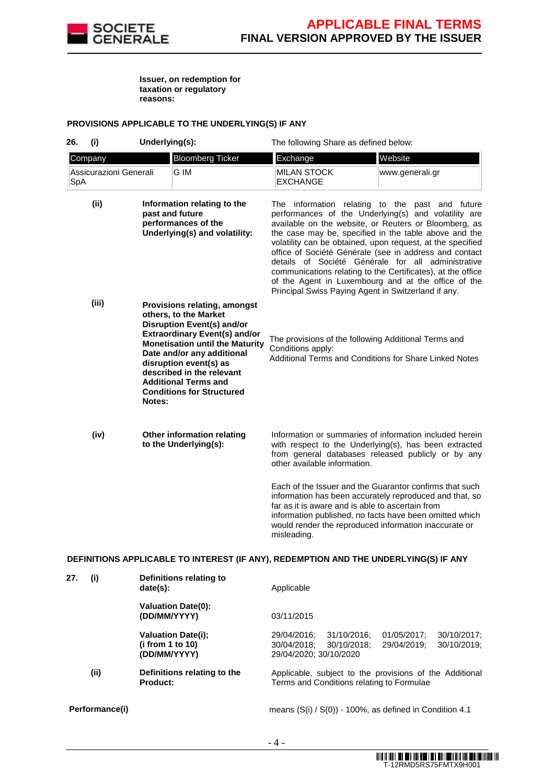

**Issuer, on redemption for taxation or regulatory reasons:** 

### **PROVISIONS APPLICABLE TO THE UNDERLYING(S) IF ANY**

| 26. | (i)                    | Underlying(s): |                                                                                                                                                                                                                                                                                                                                      | The following Share as defined below:                                                                                                                                                                                                                                                                                                                                                                      |                                                                                                                                                                        |
|-----|------------------------|----------------|--------------------------------------------------------------------------------------------------------------------------------------------------------------------------------------------------------------------------------------------------------------------------------------------------------------------------------------|------------------------------------------------------------------------------------------------------------------------------------------------------------------------------------------------------------------------------------------------------------------------------------------------------------------------------------------------------------------------------------------------------------|------------------------------------------------------------------------------------------------------------------------------------------------------------------------|
|     | Company                |                | <b>Bloomberg Ticker</b>                                                                                                                                                                                                                                                                                                              | Exchange                                                                                                                                                                                                                                                                                                                                                                                                   | Website                                                                                                                                                                |
| SpA | Assicurazioni Generali |                | G IM                                                                                                                                                                                                                                                                                                                                 | <b>MILAN STOCK</b><br><b>EXCHANGE</b>                                                                                                                                                                                                                                                                                                                                                                      | www.generali.gr                                                                                                                                                        |
|     | (i)                    |                | Information relating to the<br>past and future<br>performances of the<br>Underlying(s) and volatility:                                                                                                                                                                                                                               | The information relating to the past and future<br>performances of the Underlying(s) and volatility are<br>the case may be, specified in the table above and the<br>volatility can be obtained, upon request, at the specified<br>details of Société Générale for all administrative<br>communications relating to the Certificates), at the office<br>Principal Swiss Paying Agent in Switzerland if any. | available on the website, or Reuters or Bloomberg, as<br>office of Société Générale (see in address and contact<br>of the Agent in Luxembourg and at the office of the |
|     | (iii)                  | Notes:         | Provisions relating, amongst<br>others, to the Market<br><b>Disruption Event(s) and/or</b><br><b>Extraordinary Event(s) and/or</b><br><b>Monetisation until the Maturity</b><br>Date and/or any additional<br>disruption event(s) as<br>described in the relevant<br><b>Additional Terms and</b><br><b>Conditions for Structured</b> | The provisions of the following Additional Terms and<br>Conditions apply:<br>Additional Terms and Conditions for Share Linked Notes                                                                                                                                                                                                                                                                        |                                                                                                                                                                        |
|     | (iv)                   |                | Other information relating<br>to the Underlying(s):                                                                                                                                                                                                                                                                                  | with respect to the Underlying(s), has been extracted<br>other available information.                                                                                                                                                                                                                                                                                                                      | Information or summaries of information included herein<br>from general databases released publicly or by any                                                          |
|     |                        |                |                                                                                                                                                                                                                                                                                                                                      | Each of the Issuer and the Guarantor confirms that such<br>information has been accurately reproduced and that, so<br>far as it is aware and is able to ascertain from<br>information published, no facts have been omitted which<br>would render the reproduced information inaccurate or<br>misleading.                                                                                                  |                                                                                                                                                                        |

### **DEFINITIONS APPLICABLE TO INTEREST (IF ANY), REDEMPTION AND THE UNDERLYING(S) IF ANY**

| 27. | (i)            | Definitions relating to<br>date(s):                           | Applicable                                                                                                                                     |
|-----|----------------|---------------------------------------------------------------|------------------------------------------------------------------------------------------------------------------------------------------------|
|     |                | <b>Valuation Date(0):</b><br>(DD/MM/YYYY)                     | 03/11/2015                                                                                                                                     |
|     |                | <b>Valuation Date(i);</b><br>(i from 1 to 10)<br>(DD/MM/YYYY) | 30/10/2017:<br>29/04/2016:<br>31/10/2016:<br>01/05/2017:<br>29/04/2019:<br>30/10/2019;<br>30/10/2018:<br>30/04/2018:<br>29/04/2020: 30/10/2020 |
|     | (ii)           | Definitions relating to the<br>Product:                       | Applicable, subject to the provisions of the Additional<br>Terms and Conditions relating to Formulae                                           |
|     | Performance(i) |                                                               | means $(S(i) / S(0))$ - 100%, as defined in Condition 4.1                                                                                      |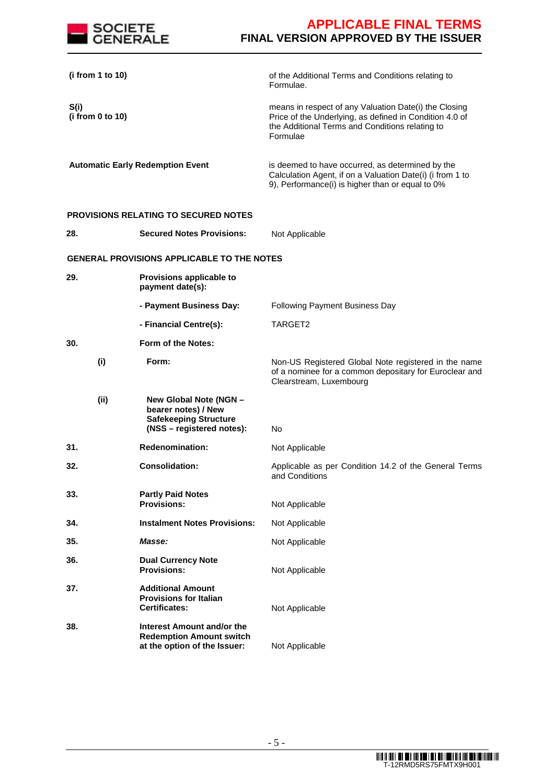

| (i from 1 to 10)                        |  |                                                                                                            | of the Additional Terms and Conditions relating to<br>Formulae.                                                                                                                 |
|-----------------------------------------|--|------------------------------------------------------------------------------------------------------------|---------------------------------------------------------------------------------------------------------------------------------------------------------------------------------|
| S(i)<br>(i from 0 to 10)                |  |                                                                                                            | means in respect of any Valuation Date(i) the Closing<br>Price of the Underlying, as defined in Condition 4.0 of<br>the Additional Terms and Conditions relating to<br>Formulae |
| <b>Automatic Early Redemption Event</b> |  |                                                                                                            | is deemed to have occurred, as determined by the<br>Calculation Agent, if on a Valuation Date(i) (i from 1 to<br>9), Performance(i) is higher than or equal to 0%               |
|                                         |  | <b>PROVISIONS RELATING TO SECURED NOTES</b>                                                                |                                                                                                                                                                                 |
| 28.                                     |  | <b>Secured Notes Provisions:</b>                                                                           | Not Applicable                                                                                                                                                                  |
|                                         |  | <b>GENERAL PROVISIONS APPLICABLE TO THE NOTES</b>                                                          |                                                                                                                                                                                 |
| 29.                                     |  | Provisions applicable to<br>payment date(s):                                                               |                                                                                                                                                                                 |
|                                         |  | - Payment Business Day:                                                                                    | Following Payment Business Day                                                                                                                                                  |
|                                         |  | - Financial Centre(s):                                                                                     | TARGET2                                                                                                                                                                         |
| 30.                                     |  | Form of the Notes:                                                                                         |                                                                                                                                                                                 |
| (i)                                     |  | Form:                                                                                                      | Non-US Registered Global Note registered in the name<br>of a nominee for a common depositary for Euroclear and<br>Clearstream, Luxembourg                                       |
| (ii)                                    |  | New Global Note (NGN -<br>bearer notes) / New<br><b>Safekeeping Structure</b><br>(NSS - registered notes): | No                                                                                                                                                                              |
| 31.                                     |  | <b>Redenomination:</b>                                                                                     | Not Applicable                                                                                                                                                                  |
| 32.                                     |  | <b>Consolidation:</b>                                                                                      | Applicable as per Condition 14.2 of the General Terms<br>and Conditions                                                                                                         |
| 33.                                     |  | <b>Partly Paid Notes</b><br><b>Provisions:</b>                                                             | Not Applicable                                                                                                                                                                  |
| 34.                                     |  | <b>Instalment Notes Provisions:</b>                                                                        | Not Applicable                                                                                                                                                                  |
| 35.                                     |  | Masse:                                                                                                     | Not Applicable                                                                                                                                                                  |
| 36.                                     |  | <b>Dual Currency Note</b><br><b>Provisions:</b>                                                            | Not Applicable                                                                                                                                                                  |
| 37.                                     |  | <b>Additional Amount</b><br><b>Provisions for Italian</b><br><b>Certificates:</b>                          | Not Applicable                                                                                                                                                                  |
| 38.                                     |  | Interest Amount and/or the<br><b>Redemption Amount switch</b><br>at the option of the Issuer:              | Not Applicable                                                                                                                                                                  |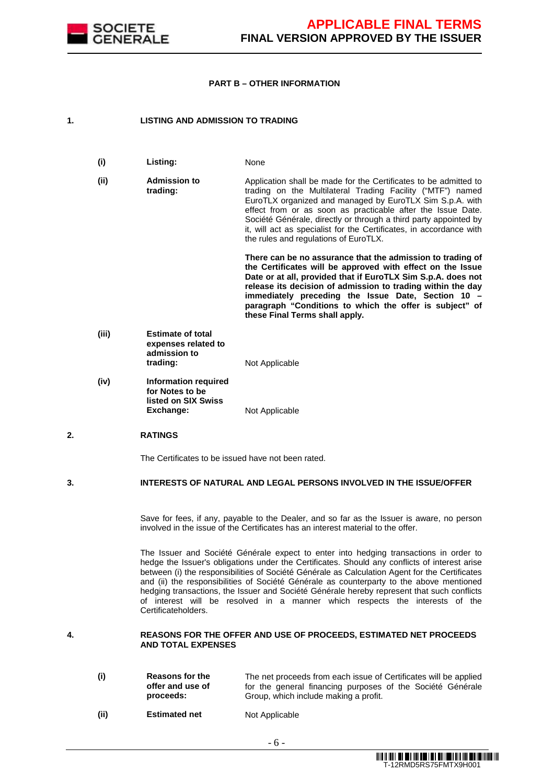

#### **PART B – OTHER INFORMATION**

### **1. LISTING AND ADMISSION TO TRADING**

**(i) Listing:** None **(ii) Admission to trading:**  Application shall be made for the Certificates to be admitted to trading on the Multilateral Trading Facility ("MTF") named EuroTLX organized and managed by EuroTLX Sim S.p.A. with effect from or as soon as practicable after the Issue Date. Société Générale, directly or through a third party appointed by it, will act as specialist for the Certificates, in accordance with the rules and regulations of EuroTLX.

**There can be no assurance that the admission to trading of the Certificates will be approved with effect on the Issue Date or at all, provided that if EuroTLX Sim S.p.A. does not release its decision of admission to trading within the day immediately preceding the Issue Date, Section 10 – paragraph "Conditions to which the offer is subject" of these Final Terms shall apply.**

- **(iii) Estimate of total expenses related to admission to Not Applicable**
- **(iv) Information required for Notes to be listed on SIX Swiss Exchange:** Not Applicable

### **2. RATINGS**

The Certificates to be issued have not been rated.

### **3. INTERESTS OF NATURAL AND LEGAL PERSONS INVOLVED IN THE ISSUE/OFFER**

 Save for fees, if any, payable to the Dealer, and so far as the Issuer is aware, no person involved in the issue of the Certificates has an interest material to the offer.

 The Issuer and Société Générale expect to enter into hedging transactions in order to hedge the Issuer's obligations under the Certificates. Should any conflicts of interest arise between (i) the responsibilities of Société Générale as Calculation Agent for the Certificates and (ii) the responsibilities of Société Générale as counterparty to the above mentioned hedging transactions, the Issuer and Société Générale hereby represent that such conflicts of interest will be resolved in a manner which respects the interests of the Certificateholders.

#### **4. REASONS FOR THE OFFER AND USE OF PROCEEDS, ESTIMATED NET PROCEEDS AND TOTAL EXPENSES**

| (i)  | <b>Reasons for the</b><br>offer and use of<br>proceeds: | The net proceeds from each issue of Certificates will be applied<br>for the general financing purposes of the Société Générale<br>Group, which include making a profit. |
|------|---------------------------------------------------------|-------------------------------------------------------------------------------------------------------------------------------------------------------------------------|
| (ii) | <b>Ectimated net</b>                                    | Not Applicable                                                                                                                                                          |

**(ii) Estimated net** Not Applicable

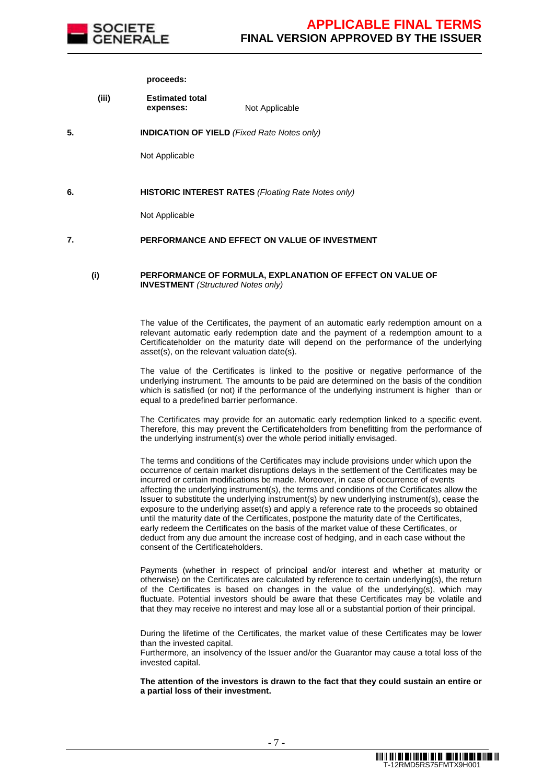

#### **proceeds:**

- **(iii) Estimated total expenses:** Not Applicable
- **5. INDICATION OF YIELD** (Fixed Rate Notes only)

Not Applicable

#### **6. HISTORIC INTEREST RATES** (Floating Rate Notes only)

Not Applicable

#### **7. PERFORMANCE AND EFFECT ON VALUE OF INVESTMENT**

#### **(i) PERFORMANCE OF FORMULA, EXPLANATION OF EFFECT ON VALUE OF INVESTMENT** (Structured Notes only)

 The value of the Certificates, the payment of an automatic early redemption amount on a relevant automatic early redemption date and the payment of a redemption amount to a Certificateholder on the maturity date will depend on the performance of the underlying asset(s), on the relevant valuation date(s).

The value of the Certificates is linked to the positive or negative performance of the underlying instrument. The amounts to be paid are determined on the basis of the condition which is satisfied (or not) if the performance of the underlying instrument is higher than or equal to a predefined barrier performance.

The Certificates may provide for an automatic early redemption linked to a specific event. Therefore, this may prevent the Certificateholders from benefitting from the performance of the underlying instrument(s) over the whole period initially envisaged.

 The terms and conditions of the Certificates may include provisions under which upon the occurrence of certain market disruptions delays in the settlement of the Certificates may be incurred or certain modifications be made. Moreover, in case of occurrence of events affecting the underlying instrument(s), the terms and conditions of the Certificates allow the Issuer to substitute the underlying instrument(s) by new underlying instrument(s), cease the exposure to the underlying asset(s) and apply a reference rate to the proceeds so obtained until the maturity date of the Certificates, postpone the maturity date of the Certificates, early redeem the Certificates on the basis of the market value of these Certificates, or deduct from any due amount the increase cost of hedging, and in each case without the consent of the Certificateholders.

Payments (whether in respect of principal and/or interest and whether at maturity or otherwise) on the Certificates are calculated by reference to certain underlying(s), the return of the Certificates is based on changes in the value of the underlying(s), which may fluctuate. Potential investors should be aware that these Certificates may be volatile and that they may receive no interest and may lose all or a substantial portion of their principal.

 During the lifetime of the Certificates, the market value of these Certificates may be lower than the invested capital. Furthermore, an insolvency of the Issuer and/or the Guarantor may cause a total loss of the

invested capital.

**The attention of the investors is drawn to the fact that they could sustain an entire or a partial loss of their investment.**

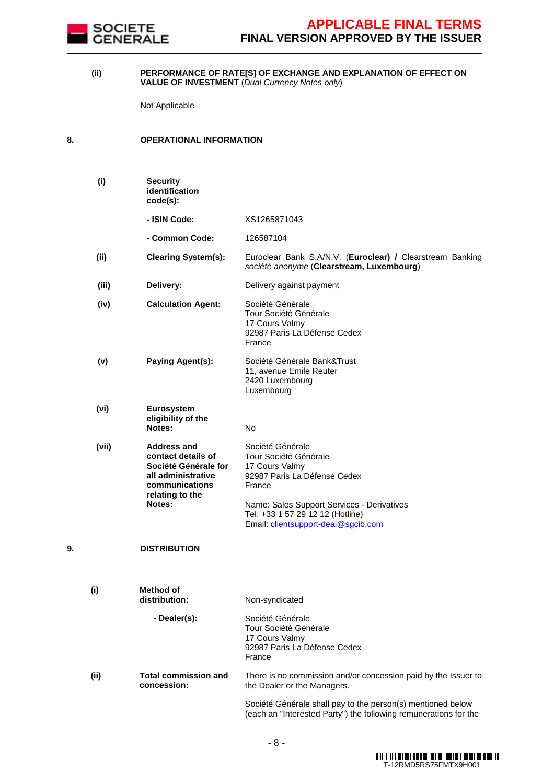

#### **(ii) PERFORMANCE OF RATE[S] OF EXCHANGE AND EXPLANATION OF EFFECT ON VALUE OF INVESTMENT** (Dual Currency Notes only)

Not Applicable

### **8. OPERATIONAL INFORMATION**

|    | (i)   | <b>Security</b><br>identification<br>code(s):                                                                                         |                                                                                                                                                                                                                                |
|----|-------|---------------------------------------------------------------------------------------------------------------------------------------|--------------------------------------------------------------------------------------------------------------------------------------------------------------------------------------------------------------------------------|
|    |       | - ISIN Code:                                                                                                                          | XS1265871043                                                                                                                                                                                                                   |
|    |       | - Common Code:                                                                                                                        | 126587104                                                                                                                                                                                                                      |
|    | (ii)  | <b>Clearing System(s):</b>                                                                                                            | Euroclear Bank S.A/N.V. (Euroclear) / Clearstream Banking<br>société anonyme (Clearstream, Luxembourg)                                                                                                                         |
|    | (iii) | Delivery:                                                                                                                             | Delivery against payment                                                                                                                                                                                                       |
|    | (iv)  | <b>Calculation Agent:</b>                                                                                                             | Société Générale<br>Tour Société Générale<br>17 Cours Valmy<br>92987 Paris La Défense Cedex<br>France                                                                                                                          |
|    | (v)   | Paying Agent(s):                                                                                                                      | Société Générale Bank&Trust<br>11, avenue Emile Reuter<br>2420 Luxembourg<br>Luxembourg                                                                                                                                        |
|    | (vi)  | Eurosystem<br>eligibility of the<br>Notes:                                                                                            | No                                                                                                                                                                                                                             |
|    | (vii) | <b>Address and</b><br>contact details of<br>Société Générale for<br>all administrative<br>communications<br>relating to the<br>Notes: | Société Générale<br>Tour Société Générale<br>17 Cours Valmy<br>92987 Paris La Défense Cedex<br>France<br>Name: Sales Support Services - Derivatives<br>Tel: +33 1 57 29 12 12 (Hotline)<br>Email: clientsupport-deai@sgcib.com |
| 9. |       | <b>DISTRIBUTION</b>                                                                                                                   |                                                                                                                                                                                                                                |
|    | (i)   | Method of<br>distribution:                                                                                                            | Non-syndicated                                                                                                                                                                                                                 |
|    |       | - Dealer(s):                                                                                                                          | Société Générale<br>Tour Société Générale<br>17 Cours Valmy<br>92987 Paris La Défense Cedex<br>France                                                                                                                          |
|    | (ii)  | <b>Total commission and</b><br>concession:                                                                                            | There is no commission and/or concession paid by the Issuer to<br>the Dealer or the Managers.                                                                                                                                  |
|    |       |                                                                                                                                       | Société Générale shall pay to the person(s) mentioned below<br>(each an "Interested Party") the following remunerations for the                                                                                                |
|    |       |                                                                                                                                       |                                                                                                                                                                                                                                |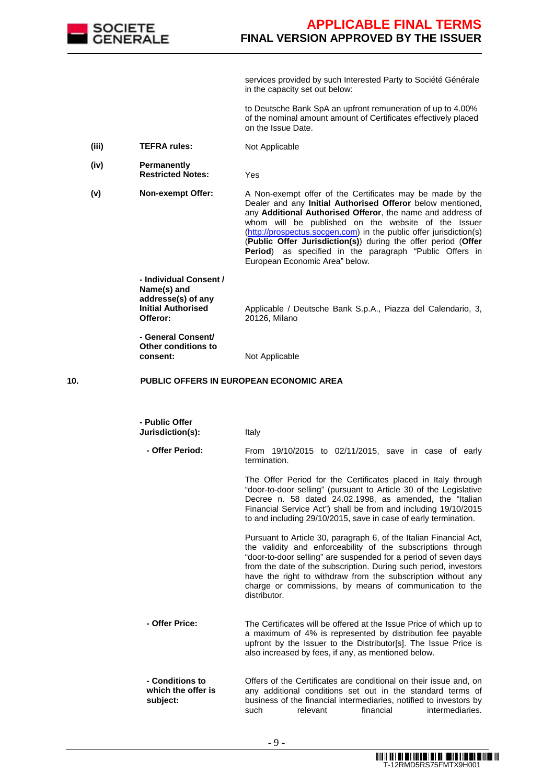

services provided by such Interested Party to Société Générale in the capacity set out below:

to Deutsche Bank SpA an upfront remuneration of up to 4.00% of the nominal amount amount of Certificates effectively placed on the Issue Date.

- (iii) TEFRA rules: Not Applicable
- **(iv) Permanently Restricted Notes:** Yes
- 

**(v) Non-exempt Offer:** A Non-exempt offer of the Certificates may be made by the Dealer and any **Initial Authorised Offeror** below mentioned, any **Additional Authorised Offeror**, the name and address of whom will be published on the website of the Issuer (http://prospectus.socgen.com) in the public offer jurisdiction(s) (**Public Offer Jurisdiction(s)**) during the offer period (**Offer Period**) as specified in the paragraph "Public Offers in European Economic Area" below.

> **- Individual Consent / Name(s) and addresse(s) of any Initial Authorised Offeror:**

Applicable / Deutsche Bank S.p.A., Piazza del Calendario, 3, 20126, Milano

**- General Consent/ Other conditions to** 

**consent:** Not Applicable

### **10. PUBLIC OFFERS IN EUROPEAN ECONOMIC AREA**

| - Public Offer<br>Jurisdiction(s):                | Italy                                                                                                                                                                                                                                                                                                                                                                                                                |
|---------------------------------------------------|----------------------------------------------------------------------------------------------------------------------------------------------------------------------------------------------------------------------------------------------------------------------------------------------------------------------------------------------------------------------------------------------------------------------|
| - Offer Period:                                   | From 19/10/2015 to 02/11/2015, save in case of early<br>termination.                                                                                                                                                                                                                                                                                                                                                 |
|                                                   | The Offer Period for the Certificates placed in Italy through<br>"door-to-door selling" (pursuant to Article 30 of the Legislative<br>Decree n. 58 dated 24.02.1998, as amended, the "Italian<br>Financial Service Act") shall be from and including 19/10/2015<br>to and including 29/10/2015, save in case of early termination.                                                                                   |
|                                                   | Pursuant to Article 30, paragraph 6, of the Italian Financial Act,<br>the validity and enforceability of the subscriptions through<br>"door-to-door selling" are suspended for a period of seven days<br>from the date of the subscription. During such period, investors<br>have the right to withdraw from the subscription without any<br>charge or commissions, by means of communication to the<br>distributor. |
| - Offer Price:                                    | The Certificates will be offered at the Issue Price of which up to<br>a maximum of 4% is represented by distribution fee payable<br>upfront by the Issuer to the Distributor[s]. The Issue Price is<br>also increased by fees, if any, as mentioned below.                                                                                                                                                           |
| - Conditions to<br>which the offer is<br>subject: | Offers of the Certificates are conditional on their issue and, on<br>any additional conditions set out in the standard terms of<br>business of the financial intermediaries, notified to investors by<br>financial<br>intermediaries.<br>such<br>relevant                                                                                                                                                            |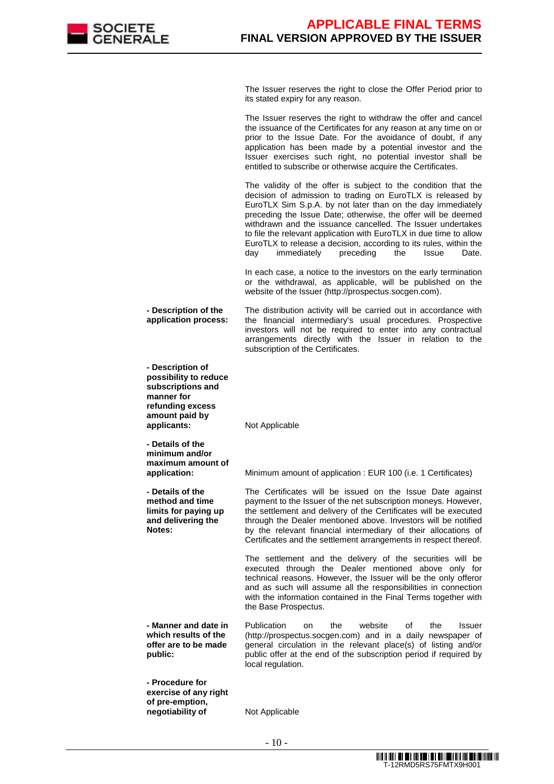

The Issuer reserves the right to close the Offer Period prior to its stated expiry for any reason.

The Issuer reserves the right to withdraw the offer and cancel the issuance of the Certificates for any reason at any time on or prior to the Issue Date. For the avoidance of doubt, if any application has been made by a potential investor and the Issuer exercises such right, no potential investor shall be entitled to subscribe or otherwise acquire the Certificates.

The validity of the offer is subject to the condition that the decision of admission to trading on EuroTLX is released by EuroTLX Sim S.p.A. by not later than on the day immediately preceding the Issue Date; otherwise, the offer will be deemed withdrawn and the issuance cancelled. The Issuer undertakes to file the relevant application with EuroTLX in due time to allow EuroTLX to release a decision, according to its rules, within the day immediately preceding the Issue Date.

In each case, a notice to the investors on the early termination or the withdrawal, as applicable, will be published on the website of the Issuer (http://prospectus.socgen.com).

**- Description of the application process:** The distribution activity will be carried out in accordance with the financial intermediary's usual procedures. Prospective investors will not be required to enter into any contractual arrangements directly with the Issuer in relation to the subscription of the Certificates.

**manner for refunding excess amount paid by applicants:** Not Applicable

**- Description of possibility to reduce subscriptions and** 

**- Details of the minimum and/or maximum amount of** 

**- Details of the method and time limits for paying up and delivering the** 

**Notes:** 

**public:** 

**application:** Minimum amount of application : EUR 100 (i.e. 1 Certificates)

The Certificates will be issued on the Issue Date against payment to the Issuer of the net subscription moneys. However, the settlement and delivery of the Certificates will be executed through the Dealer mentioned above. Investors will be notified by the relevant financial intermediary of their allocations of Certificates and the settlement arrangements in respect thereof.

The settlement and the delivery of the securities will be executed through the Dealer mentioned above only for technical reasons. However, the Issuer will be the only offeror and as such will assume all the responsibilities in connection with the information contained in the Final Terms together with the Base Prospectus.

**- Manner and date in which results of the offer are to be made**  Publication on the website of the Issuer (http://prospectus.socgen.com) and in a daily newspaper of general circulation in the relevant place(s) of listing and/or public offer at the end of the subscription period if required by local regulation.

**- Procedure for exercise of any right of pre-emption, negotiability of Mot Applicable**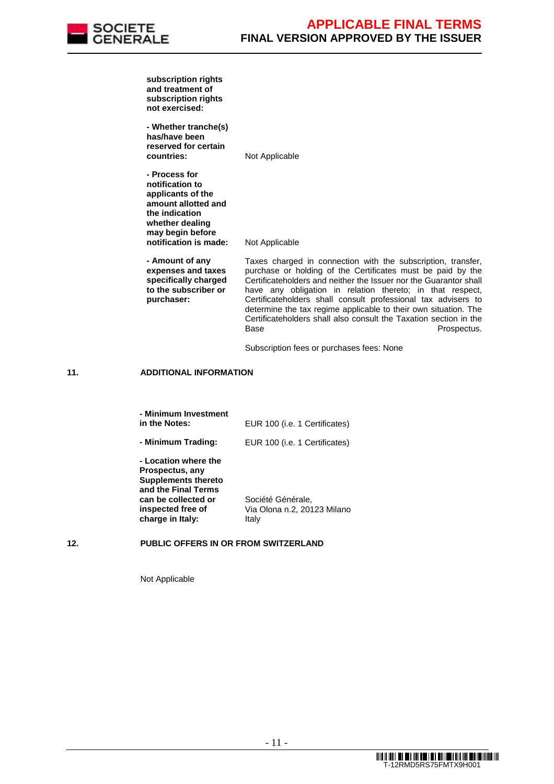

**subscription rights and treatment of subscription rights not exercised:** 

**- Whether tranche(s) has/have been reserved for certain countries:** Not Applicable

**- Process for notification to applicants of the amount allotted and the indication whether dealing may begin before notification is made:** Not Applicable

**- Amount of any expenses and taxes specifically charged to the subscriber or**  Taxes charged in connection with the subscription, transfer, purchase or holding of the Certificates must be paid by the Certificateholders and neither the Issuer nor the Guarantor shall have any obligation in relation thereto; in that respect, Certificateholders shall consult professional tax advisers to determine the tax regime applicable to their own situation. The Certificateholders shall also consult the Taxation section in the Base **Prospectus.** 

Subscription fees or purchases fees: None

### **11. ADDITIONAL INFORMATION**

**purchaser:** 

| - Minimum Investment<br>in the Notes:                                                                                                                        | EUR 100 (i.e. 1 Certificates)                             |
|--------------------------------------------------------------------------------------------------------------------------------------------------------------|-----------------------------------------------------------|
| - Minimum Trading:                                                                                                                                           | EUR 100 (i.e. 1 Certificates)                             |
| - Location where the<br>Prospectus, any<br><b>Supplements thereto</b><br>and the Final Terms<br>can be collected or<br>inspected free of<br>charge in Italy: | Société Générale,<br>Via Olona n.2, 20123 Milano<br>Italy |

### **12. PUBLIC OFFERS IN OR FROM SWITZERLAND**

Not Applicable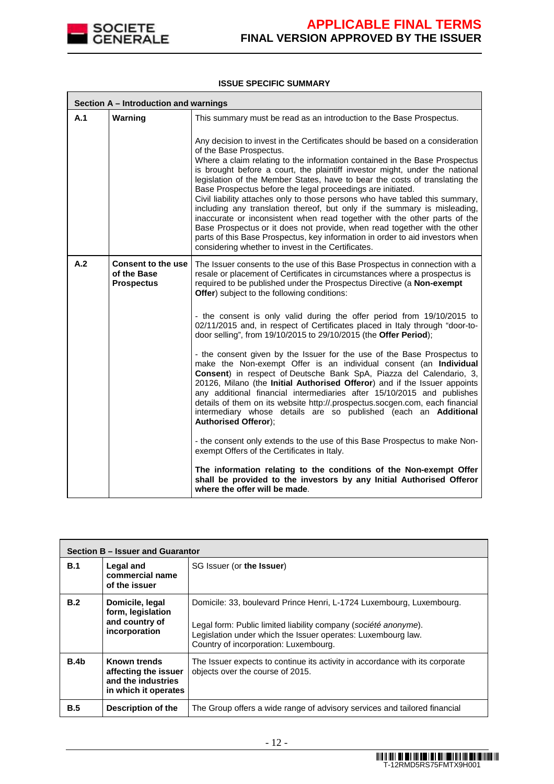

### **ISSUE SPECIFIC SUMMARY**

|     | Section A - Introduction and warnings                  |                                                                                                                                                                                                                                                                                                                                                                                                                                                                                                                                                                                                                                                                                                                                                                                                                                                                                   |  |  |
|-----|--------------------------------------------------------|-----------------------------------------------------------------------------------------------------------------------------------------------------------------------------------------------------------------------------------------------------------------------------------------------------------------------------------------------------------------------------------------------------------------------------------------------------------------------------------------------------------------------------------------------------------------------------------------------------------------------------------------------------------------------------------------------------------------------------------------------------------------------------------------------------------------------------------------------------------------------------------|--|--|
| A.1 | Warning                                                | This summary must be read as an introduction to the Base Prospectus.                                                                                                                                                                                                                                                                                                                                                                                                                                                                                                                                                                                                                                                                                                                                                                                                              |  |  |
|     |                                                        | Any decision to invest in the Certificates should be based on a consideration<br>of the Base Prospectus.<br>Where a claim relating to the information contained in the Base Prospectus<br>is brought before a court, the plaintiff investor might, under the national<br>legislation of the Member States, have to bear the costs of translating the<br>Base Prospectus before the legal proceedings are initiated.<br>Civil liability attaches only to those persons who have tabled this summary,<br>including any translation thereof, but only if the summary is misleading,<br>inaccurate or inconsistent when read together with the other parts of the<br>Base Prospectus or it does not provide, when read together with the other<br>parts of this Base Prospectus, key information in order to aid investors when<br>considering whether to invest in the Certificates. |  |  |
| A.2 | Consent to the use<br>of the Base<br><b>Prospectus</b> | The Issuer consents to the use of this Base Prospectus in connection with a<br>resale or placement of Certificates in circumstances where a prospectus is<br>required to be published under the Prospectus Directive (a Non-exempt<br>Offer) subject to the following conditions:                                                                                                                                                                                                                                                                                                                                                                                                                                                                                                                                                                                                 |  |  |
|     |                                                        | - the consent is only valid during the offer period from 19/10/2015 to<br>02/11/2015 and, in respect of Certificates placed in Italy through "door-to-<br>door selling", from 19/10/2015 to 29/10/2015 (the Offer Period);                                                                                                                                                                                                                                                                                                                                                                                                                                                                                                                                                                                                                                                        |  |  |
|     |                                                        | - the consent given by the Issuer for the use of the Base Prospectus to<br>make the Non-exempt Offer is an individual consent (an Individual<br>Consent) in respect of Deutsche Bank SpA, Piazza del Calendario, 3,<br>20126, Milano (the Initial Authorised Offeror) and if the Issuer appoints<br>any additional financial intermediaries after 15/10/2015 and publishes<br>details of them on its website http://.prospectus.socgen.com, each financial<br>intermediary whose details are so published (each an Additional<br><b>Authorised Offeror);</b>                                                                                                                                                                                                                                                                                                                      |  |  |
|     |                                                        | - the consent only extends to the use of this Base Prospectus to make Non-<br>exempt Offers of the Certificates in Italy.                                                                                                                                                                                                                                                                                                                                                                                                                                                                                                                                                                                                                                                                                                                                                         |  |  |
|     |                                                        | The information relating to the conditions of the Non-exempt Offer<br>shall be provided to the investors by any Initial Authorised Offeror<br>where the offer will be made.                                                                                                                                                                                                                                                                                                                                                                                                                                                                                                                                                                                                                                                                                                       |  |  |

|                  | Section B - Issuer and Guarantor                                                   |                                                                                                                                                                                                                                                  |  |  |
|------------------|------------------------------------------------------------------------------------|--------------------------------------------------------------------------------------------------------------------------------------------------------------------------------------------------------------------------------------------------|--|--|
| B.1              | Legal and<br>commercial name<br>of the issuer                                      | SG Issuer (or the Issuer)                                                                                                                                                                                                                        |  |  |
| B.2              | Domicile, legal<br>form, legislation<br>and country of<br>incorporation            | Domicile: 33, boulevard Prince Henri, L-1724 Luxembourg, Luxembourg.<br>Legal form: Public limited liability company (société anonyme).<br>Legislation under which the Issuer operates: Luxembourg law.<br>Country of incorporation: Luxembourg. |  |  |
| B.4 <sub>b</sub> | Known trends<br>affecting the issuer<br>and the industries<br>in which it operates | The Issuer expects to continue its activity in accordance with its corporate<br>objects over the course of 2015.                                                                                                                                 |  |  |
| B.5              | Description of the                                                                 | The Group offers a wide range of advisory services and tailored financial                                                                                                                                                                        |  |  |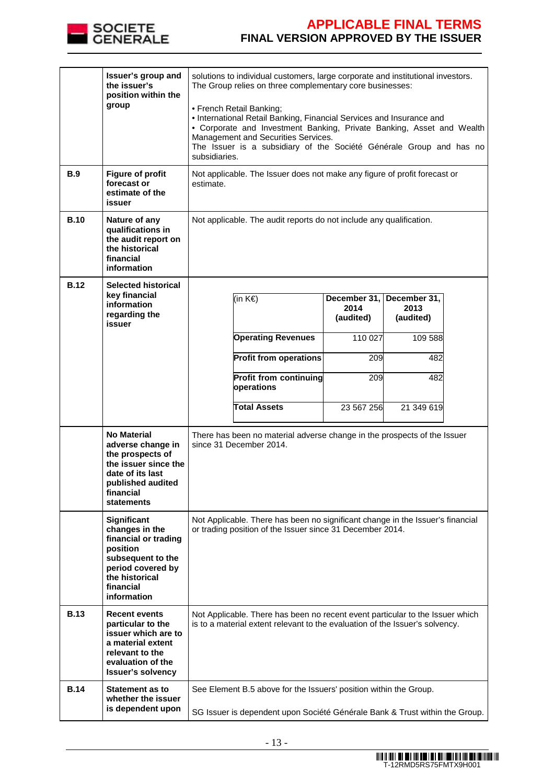

| <b>B.9</b><br><b>B.10</b> | Issuer's group and<br>the issuer's<br>position within the<br>group<br><b>Figure of profit</b><br>forecast or<br>estimate of the<br>issuer<br>Nature of any<br>qualifications in<br>the audit report on<br>the historical<br>financial | solutions to individual customers, large corporate and institutional investors.<br>The Group relies on three complementary core businesses:<br>• French Retail Banking;<br>• International Retail Banking, Financial Services and Insurance and<br>• Corporate and Investment Banking, Private Banking, Asset and Wealth<br>Management and Securities Services.<br>The Issuer is a subsidiary of the Société Générale Group and has no<br>subsidiaries.<br>Not applicable. The Issuer does not make any figure of profit forecast or<br>estimate.<br>Not applicable. The audit reports do not include any qualification. |  |                                                                          |                                                                          |  |
|---------------------------|---------------------------------------------------------------------------------------------------------------------------------------------------------------------------------------------------------------------------------------|--------------------------------------------------------------------------------------------------------------------------------------------------------------------------------------------------------------------------------------------------------------------------------------------------------------------------------------------------------------------------------------------------------------------------------------------------------------------------------------------------------------------------------------------------------------------------------------------------------------------------|--|--------------------------------------------------------------------------|--------------------------------------------------------------------------|--|
| <b>B.12</b>               | information<br><b>Selected historical</b><br>key financial<br>information<br>regarding the<br>issuer                                                                                                                                  | (in K€)<br><b>Operating Revenues</b><br><b>Profit from operations</b><br><b>Profit from continuing</b><br>operations<br><b>Total Assets</b>                                                                                                                                                                                                                                                                                                                                                                                                                                                                              |  | December 31,<br>2014<br>(audited)<br>110 027<br>209<br>209<br>23 567 256 | December 31,<br>2013<br>(audited)<br>109 588<br>482<br>482<br>21 349 619 |  |
|                           | <b>No Material</b><br>adverse change in<br>the prospects of<br>the issuer since the<br>date of its last<br>published audited<br>financial<br>statements                                                                               | There has been no material adverse change in the prospects of the Issuer<br>since 31 December 2014.                                                                                                                                                                                                                                                                                                                                                                                                                                                                                                                      |  |                                                                          |                                                                          |  |
|                           | Significant<br>changes in the<br>financial or trading<br>position<br>subsequent to the<br>period covered by<br>the historical<br>financial<br>information                                                                             | Not Applicable. There has been no significant change in the Issuer's financial<br>or trading position of the Issuer since 31 December 2014.                                                                                                                                                                                                                                                                                                                                                                                                                                                                              |  |                                                                          |                                                                          |  |
| <b>B.13</b>               | <b>Recent events</b><br>particular to the<br>issuer which are to<br>a material extent<br>relevant to the<br>evaluation of the<br><b>Issuer's solvency</b>                                                                             | Not Applicable. There has been no recent event particular to the Issuer which<br>is to a material extent relevant to the evaluation of the Issuer's solvency.                                                                                                                                                                                                                                                                                                                                                                                                                                                            |  |                                                                          |                                                                          |  |
| <b>B.14</b>               | <b>Statement as to</b><br>whether the issuer<br>is dependent upon                                                                                                                                                                     | See Element B.5 above for the Issuers' position within the Group.<br>SG Issuer is dependent upon Société Générale Bank & Trust within the Group.                                                                                                                                                                                                                                                                                                                                                                                                                                                                         |  |                                                                          |                                                                          |  |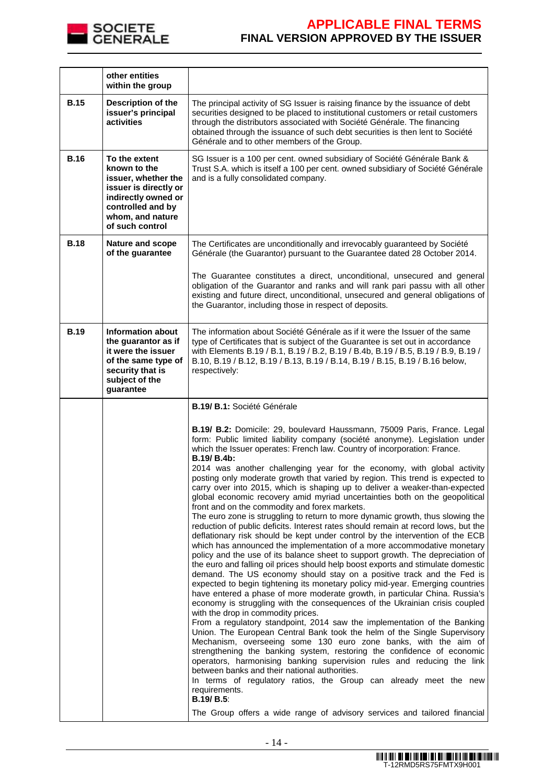

|             | other entities<br>within the group                                                                                                                               |                                                                                                                                                                                                                                                                                                                                                                                                                                                                                                                                                                                                                                                                                                                                                                                                                                                                                                                                                                                                                                                                                                                                                                                                                                                                                                                                                                                                                                                                                                                                                                                                                                                                                                                                                                                                                                                                                                                                                                                                                                                                                                                               |
|-------------|------------------------------------------------------------------------------------------------------------------------------------------------------------------|-------------------------------------------------------------------------------------------------------------------------------------------------------------------------------------------------------------------------------------------------------------------------------------------------------------------------------------------------------------------------------------------------------------------------------------------------------------------------------------------------------------------------------------------------------------------------------------------------------------------------------------------------------------------------------------------------------------------------------------------------------------------------------------------------------------------------------------------------------------------------------------------------------------------------------------------------------------------------------------------------------------------------------------------------------------------------------------------------------------------------------------------------------------------------------------------------------------------------------------------------------------------------------------------------------------------------------------------------------------------------------------------------------------------------------------------------------------------------------------------------------------------------------------------------------------------------------------------------------------------------------------------------------------------------------------------------------------------------------------------------------------------------------------------------------------------------------------------------------------------------------------------------------------------------------------------------------------------------------------------------------------------------------------------------------------------------------------------------------------------------------|
| <b>B.15</b> | Description of the<br>issuer's principal<br>activities                                                                                                           | The principal activity of SG Issuer is raising finance by the issuance of debt<br>securities designed to be placed to institutional customers or retail customers<br>through the distributors associated with Société Générale. The financing<br>obtained through the issuance of such debt securities is then lent to Société<br>Générale and to other members of the Group.                                                                                                                                                                                                                                                                                                                                                                                                                                                                                                                                                                                                                                                                                                                                                                                                                                                                                                                                                                                                                                                                                                                                                                                                                                                                                                                                                                                                                                                                                                                                                                                                                                                                                                                                                 |
| <b>B.16</b> | To the extent<br>known to the<br>issuer, whether the<br>issuer is directly or<br>indirectly owned or<br>controlled and by<br>whom, and nature<br>of such control | SG Issuer is a 100 per cent. owned subsidiary of Société Générale Bank &<br>Trust S.A. which is itself a 100 per cent. owned subsidiary of Société Générale<br>and is a fully consolidated company.                                                                                                                                                                                                                                                                                                                                                                                                                                                                                                                                                                                                                                                                                                                                                                                                                                                                                                                                                                                                                                                                                                                                                                                                                                                                                                                                                                                                                                                                                                                                                                                                                                                                                                                                                                                                                                                                                                                           |
| <b>B.18</b> | Nature and scope<br>of the guarantee                                                                                                                             | The Certificates are unconditionally and irrevocably guaranteed by Société<br>Générale (the Guarantor) pursuant to the Guarantee dated 28 October 2014.<br>The Guarantee constitutes a direct, unconditional, unsecured and general<br>obligation of the Guarantor and ranks and will rank pari passu with all other<br>existing and future direct, unconditional, unsecured and general obligations of<br>the Guarantor, including those in respect of deposits.                                                                                                                                                                                                                                                                                                                                                                                                                                                                                                                                                                                                                                                                                                                                                                                                                                                                                                                                                                                                                                                                                                                                                                                                                                                                                                                                                                                                                                                                                                                                                                                                                                                             |
| <b>B.19</b> | <b>Information about</b><br>the guarantor as if<br>it were the issuer<br>of the same type of<br>security that is<br>subject of the<br>guarantee                  | The information about Société Générale as if it were the Issuer of the same<br>type of Certificates that is subject of the Guarantee is set out in accordance<br>with Elements B.19 / B.1, B.19 / B.2, B.19 / B.4b, B.19 / B.5, B.19 / B.9, B.19 /<br>B.10, B.19 / B.12, B.19 / B.13, B.19 / B.14, B.19 / B.15, B.19 / B.16 below,<br>respectively:                                                                                                                                                                                                                                                                                                                                                                                                                                                                                                                                                                                                                                                                                                                                                                                                                                                                                                                                                                                                                                                                                                                                                                                                                                                                                                                                                                                                                                                                                                                                                                                                                                                                                                                                                                           |
|             |                                                                                                                                                                  | B.19/ B.1: Société Générale                                                                                                                                                                                                                                                                                                                                                                                                                                                                                                                                                                                                                                                                                                                                                                                                                                                                                                                                                                                                                                                                                                                                                                                                                                                                                                                                                                                                                                                                                                                                                                                                                                                                                                                                                                                                                                                                                                                                                                                                                                                                                                   |
|             |                                                                                                                                                                  | B.19/ B.2: Domicile: 29, boulevard Haussmann, 75009 Paris, France. Legal<br>form: Public limited liability company (société anonyme). Legislation under<br>which the Issuer operates: French law. Country of incorporation: France.<br>B.19/ B.4b:<br>2014 was another challenging year for the economy, with global activity<br>posting only moderate growth that varied by region. This trend is expected to<br>carry over into 2015, which is shaping up to deliver a weaker-than-expected<br>global economic recovery amid myriad uncertainties both on the geopolitical<br>front and on the commodity and forex markets.<br>The euro zone is struggling to return to more dynamic growth, thus slowing the<br>reduction of public deficits. Interest rates should remain at record lows, but the<br>deflationary risk should be kept under control by the intervention of the ECB<br>which has announced the implementation of a more accommodative monetary<br>policy and the use of its balance sheet to support growth. The depreciation of<br>the euro and falling oil prices should help boost exports and stimulate domestic<br>demand. The US economy should stay on a positive track and the Fed is<br>expected to begin tightening its monetary policy mid-year. Emerging countries<br>have entered a phase of more moderate growth, in particular China. Russia's<br>economy is struggling with the consequences of the Ukrainian crisis coupled<br>with the drop in commodity prices.<br>From a regulatory standpoint, 2014 saw the implementation of the Banking<br>Union. The European Central Bank took the helm of the Single Supervisory<br>Mechanism, overseeing some 130 euro zone banks, with the aim of<br>strengthening the banking system, restoring the confidence of economic<br>operators, harmonising banking supervision rules and reducing the link<br>between banks and their national authorities.<br>In terms of regulatory ratios, the Group can already meet the new<br>requirements.<br><b>B.19/ B.5:</b><br>The Group offers a wide range of advisory services and tailored financial |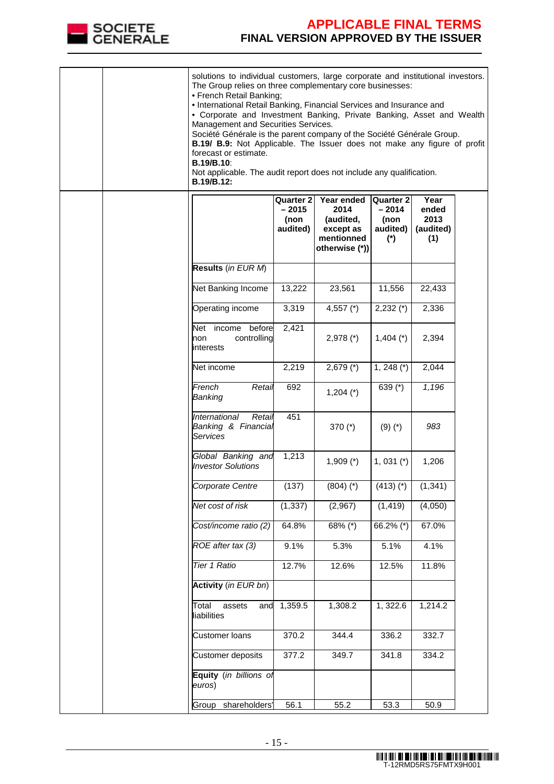

|  | solutions to individual customers, large corporate and institutional investors.<br>The Group relies on three complementary core businesses:<br>• French Retail Banking;<br>• International Retail Banking, Financial Services and Insurance and<br>• Corporate and Investment Banking, Private Banking, Asset and Wealth<br>Management and Securities Services.<br>Société Générale is the parent company of the Société Générale Group.<br>B.19/ B.9: Not Applicable. The Issuer does not make any figure of profit<br>forecast or estimate.<br><b>B.19/B.10:</b><br>Not applicable. The audit report does not include any qualification.<br>B.19/B.12: |                                                 |                                                                              |                                                          |                                           |  |
|--|----------------------------------------------------------------------------------------------------------------------------------------------------------------------------------------------------------------------------------------------------------------------------------------------------------------------------------------------------------------------------------------------------------------------------------------------------------------------------------------------------------------------------------------------------------------------------------------------------------------------------------------------------------|-------------------------------------------------|------------------------------------------------------------------------------|----------------------------------------------------------|-------------------------------------------|--|
|  |                                                                                                                                                                                                                                                                                                                                                                                                                                                                                                                                                                                                                                                          | <b>Quarter 2</b><br>$-2015$<br>(non<br>audited) | Year ended<br>2014<br>(audited,<br>except as<br>mentionned<br>otherwise (*)) | <b>Quarter 2</b><br>$-2014$<br>(non<br>audited)<br>$(*)$ | Year<br>ended<br>2013<br>(audited)<br>(1) |  |
|  | Results (in EUR M)                                                                                                                                                                                                                                                                                                                                                                                                                                                                                                                                                                                                                                       |                                                 |                                                                              |                                                          |                                           |  |
|  | Net Banking Income                                                                                                                                                                                                                                                                                                                                                                                                                                                                                                                                                                                                                                       | 13,222                                          | 23,561                                                                       | 11,556                                                   | 22,433                                    |  |
|  | Operating income                                                                                                                                                                                                                                                                                                                                                                                                                                                                                                                                                                                                                                         | 3,319                                           | 4,557 $(*)$                                                                  | $2,232$ (*)                                              | 2,336                                     |  |
|  | Net<br>before<br>income<br>controlling<br>non<br>interests                                                                                                                                                                                                                                                                                                                                                                                                                                                                                                                                                                                               | 2,421                                           | $2,978$ (*)                                                                  | $1,404$ (*)                                              | 2,394                                     |  |
|  | Net income                                                                                                                                                                                                                                                                                                                                                                                                                                                                                                                                                                                                                                               | 2,219                                           | $2,679$ (*)                                                                  | $1, 248 (*)$                                             | 2,044                                     |  |
|  | French<br>Retail<br>Banking                                                                                                                                                                                                                                                                                                                                                                                                                                                                                                                                                                                                                              | 692                                             | $1,204 (*)$                                                                  | 639 (*)                                                  | 1,196                                     |  |
|  | International<br>Retail<br>Banking & Financial<br><b>Services</b>                                                                                                                                                                                                                                                                                                                                                                                                                                                                                                                                                                                        | 451                                             | 370 (*)                                                                      | $(9)(*)$                                                 | 983                                       |  |
|  | Global Banking and<br><b>Investor Solutions</b>                                                                                                                                                                                                                                                                                                                                                                                                                                                                                                                                                                                                          | 1,213                                           | $1,909$ (*)                                                                  | $1,031$ $(*)$                                            | 1,206                                     |  |
|  | Corporate Centre                                                                                                                                                                                                                                                                                                                                                                                                                                                                                                                                                                                                                                         | (137)                                           | $(804)$ (*)                                                                  | $(413)$ $(*)$                                            | (1, 341)                                  |  |
|  | Net cost of risk                                                                                                                                                                                                                                                                                                                                                                                                                                                                                                                                                                                                                                         | (1, 337)                                        | (2,967)                                                                      | (1, 419)                                                 | (4,050)                                   |  |
|  | Cost/income ratio (2)                                                                                                                                                                                                                                                                                                                                                                                                                                                                                                                                                                                                                                    | 64.8%                                           | 68% (*)                                                                      | 66.2% (*)                                                | 67.0%                                     |  |
|  | ROE after tax (3)                                                                                                                                                                                                                                                                                                                                                                                                                                                                                                                                                                                                                                        | 9.1%                                            | 5.3%                                                                         | 5.1%                                                     | 4.1%                                      |  |
|  | Tier 1 Ratio                                                                                                                                                                                                                                                                                                                                                                                                                                                                                                                                                                                                                                             | 12.7%                                           | 12.6%                                                                        | 12.5%                                                    | 11.8%                                     |  |
|  | <b>Activity</b> (in EUR bn)                                                                                                                                                                                                                                                                                                                                                                                                                                                                                                                                                                                                                              |                                                 |                                                                              |                                                          |                                           |  |
|  | Total<br>assets<br>and<br>liabilities                                                                                                                                                                                                                                                                                                                                                                                                                                                                                                                                                                                                                    | 1,359.5                                         | 1,308.2                                                                      | 1,322.6                                                  | 1,214.2                                   |  |
|  | <b>Customer loans</b>                                                                                                                                                                                                                                                                                                                                                                                                                                                                                                                                                                                                                                    | 370.2                                           | 344.4                                                                        | 336.2                                                    | 332.7                                     |  |
|  | Customer deposits                                                                                                                                                                                                                                                                                                                                                                                                                                                                                                                                                                                                                                        | 377.2                                           | 349.7                                                                        | 341.8                                                    | 334.2                                     |  |
|  | Equity (in billions of<br>euros)                                                                                                                                                                                                                                                                                                                                                                                                                                                                                                                                                                                                                         |                                                 |                                                                              |                                                          |                                           |  |
|  | shareholders'<br>Group                                                                                                                                                                                                                                                                                                                                                                                                                                                                                                                                                                                                                                   | 56.1                                            | 55.2                                                                         | 53.3                                                     | 50.9                                      |  |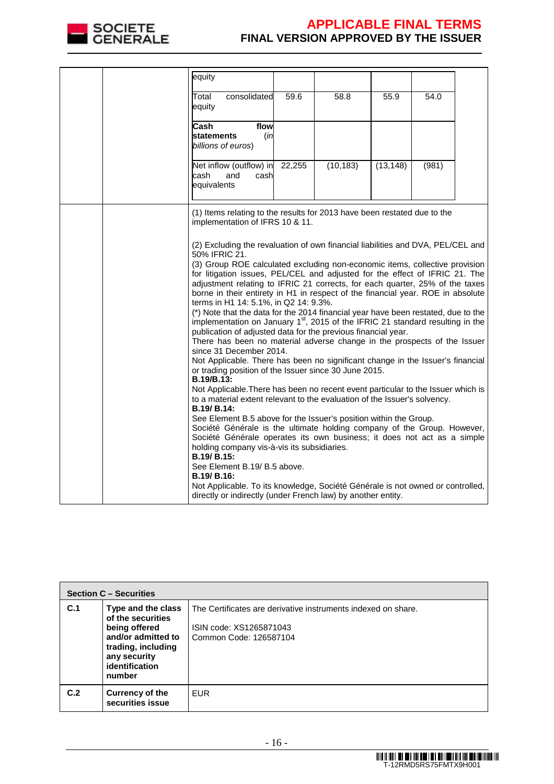

| equity                                                                                                                                                                                                                                                                                                                                                                                                                                                                                                                                                                                                                                                                                                                                                                                                                                                                                                                                                                                                                                                                                                                                                                                                                                                                                                                                                                                                                                                                                                                                                                                                                                                                   |        |           |           |       |  |
|--------------------------------------------------------------------------------------------------------------------------------------------------------------------------------------------------------------------------------------------------------------------------------------------------------------------------------------------------------------------------------------------------------------------------------------------------------------------------------------------------------------------------------------------------------------------------------------------------------------------------------------------------------------------------------------------------------------------------------------------------------------------------------------------------------------------------------------------------------------------------------------------------------------------------------------------------------------------------------------------------------------------------------------------------------------------------------------------------------------------------------------------------------------------------------------------------------------------------------------------------------------------------------------------------------------------------------------------------------------------------------------------------------------------------------------------------------------------------------------------------------------------------------------------------------------------------------------------------------------------------------------------------------------------------|--------|-----------|-----------|-------|--|
| consolidated<br>Total<br>equity                                                                                                                                                                                                                                                                                                                                                                                                                                                                                                                                                                                                                                                                                                                                                                                                                                                                                                                                                                                                                                                                                                                                                                                                                                                                                                                                                                                                                                                                                                                                                                                                                                          | 59.6   | 58.8      | 55.9      | 54.0  |  |
| Cash<br>flow<br><b>statements</b><br>(in<br>billions of euros)                                                                                                                                                                                                                                                                                                                                                                                                                                                                                                                                                                                                                                                                                                                                                                                                                                                                                                                                                                                                                                                                                                                                                                                                                                                                                                                                                                                                                                                                                                                                                                                                           |        |           |           |       |  |
| Net inflow (outflow) in<br>cash<br>and<br>cash<br>equivalents                                                                                                                                                                                                                                                                                                                                                                                                                                                                                                                                                                                                                                                                                                                                                                                                                                                                                                                                                                                                                                                                                                                                                                                                                                                                                                                                                                                                                                                                                                                                                                                                            | 22,255 | (10, 183) | (13, 148) | (981) |  |
| (1) Items relating to the results for 2013 have been restated due to the<br>implementation of IFRS 10 & 11.                                                                                                                                                                                                                                                                                                                                                                                                                                                                                                                                                                                                                                                                                                                                                                                                                                                                                                                                                                                                                                                                                                                                                                                                                                                                                                                                                                                                                                                                                                                                                              |        |           |           |       |  |
| (2) Excluding the revaluation of own financial liabilities and DVA, PEL/CEL and<br>50% IFRIC 21.<br>(3) Group ROE calculated excluding non-economic items, collective provision<br>for litigation issues, PEL/CEL and adjusted for the effect of IFRIC 21. The<br>adjustment relating to IFRIC 21 corrects, for each quarter, 25% of the taxes<br>borne in their entirety in H1 in respect of the financial year. ROE in absolute<br>terms in H1 14: 5.1%, in Q2 14: 9.3%.<br>(*) Note that the data for the 2014 financial year have been restated, due to the<br>implementation on January 1 <sup>st</sup> , 2015 of the IFRIC 21 standard resulting in the<br>publication of adjusted data for the previous financial year.<br>There has been no material adverse change in the prospects of the Issuer<br>since 31 December 2014.<br>Not Applicable. There has been no significant change in the Issuer's financial<br>or trading position of the Issuer since 30 June 2015.<br>B.19/B.13:<br>Not Applicable. There has been no recent event particular to the Issuer which is<br>to a material extent relevant to the evaluation of the Issuer's solvency.<br>B.19/ B.14:<br>See Element B.5 above for the Issuer's position within the Group.<br>Société Générale is the ultimate holding company of the Group. However,<br>Société Générale operates its own business; it does not act as a simple<br>holding company vis-à-vis its subsidiaries.<br>B.19/ B.15:<br>See Element B.19/ B.5 above.<br>B.19/ B.16:<br>Not Applicable. To its knowledge, Société Générale is not owned or controlled,<br>directly or indirectly (under French law) by another entity. |        |           |           |       |  |

|     | <b>Section C - Securities</b>                                                                                                                    |                                                                                                                    |  |  |  |  |
|-----|--------------------------------------------------------------------------------------------------------------------------------------------------|--------------------------------------------------------------------------------------------------------------------|--|--|--|--|
| C.1 | Type and the class<br>of the securities<br>being offered<br>and/or admitted to<br>trading, including<br>any security<br>identification<br>number | The Certificates are derivative instruments indexed on share.<br>ISIN code: XS1265871043<br>Common Code: 126587104 |  |  |  |  |
| C.2 | <b>Currency of the</b><br>securities issue                                                                                                       | <b>EUR</b>                                                                                                         |  |  |  |  |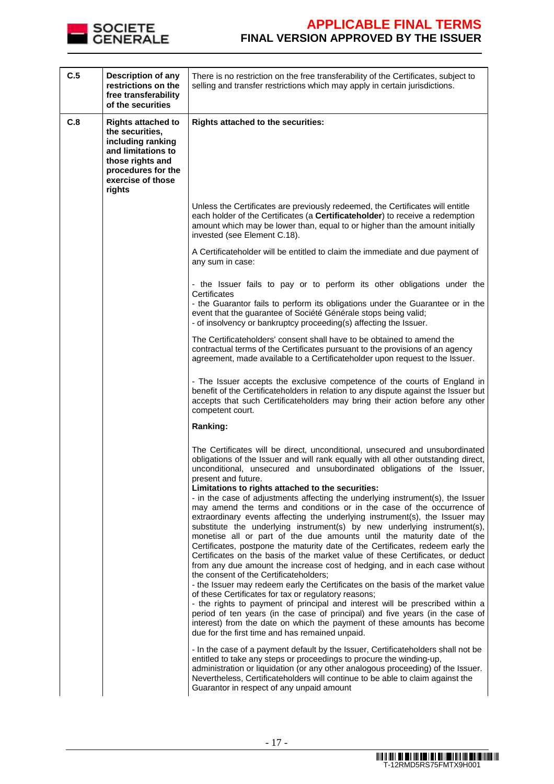

| C.5 | Description of any<br>restrictions on the<br>free transferability<br>of the securities                                                                           | There is no restriction on the free transferability of the Certificates, subject to<br>selling and transfer restrictions which may apply in certain jurisdictions.                                                                                                                                                                                                                                                                                                                                                                                                                                                                                                                                                                                                                                                                                                                                                                                                                                                                                                                                                                                                                                                                                                                                                                                                                                                                                                                                                                                      |
|-----|------------------------------------------------------------------------------------------------------------------------------------------------------------------|---------------------------------------------------------------------------------------------------------------------------------------------------------------------------------------------------------------------------------------------------------------------------------------------------------------------------------------------------------------------------------------------------------------------------------------------------------------------------------------------------------------------------------------------------------------------------------------------------------------------------------------------------------------------------------------------------------------------------------------------------------------------------------------------------------------------------------------------------------------------------------------------------------------------------------------------------------------------------------------------------------------------------------------------------------------------------------------------------------------------------------------------------------------------------------------------------------------------------------------------------------------------------------------------------------------------------------------------------------------------------------------------------------------------------------------------------------------------------------------------------------------------------------------------------------|
| C.8 | <b>Rights attached to</b><br>the securities,<br>including ranking<br>and limitations to<br>those rights and<br>procedures for the<br>exercise of those<br>rights | Rights attached to the securities:                                                                                                                                                                                                                                                                                                                                                                                                                                                                                                                                                                                                                                                                                                                                                                                                                                                                                                                                                                                                                                                                                                                                                                                                                                                                                                                                                                                                                                                                                                                      |
|     |                                                                                                                                                                  | Unless the Certificates are previously redeemed, the Certificates will entitle<br>each holder of the Certificates (a Certificateholder) to receive a redemption<br>amount which may be lower than, equal to or higher than the amount initially<br>invested (see Element C.18).                                                                                                                                                                                                                                                                                                                                                                                                                                                                                                                                                                                                                                                                                                                                                                                                                                                                                                                                                                                                                                                                                                                                                                                                                                                                         |
|     |                                                                                                                                                                  | A Certificateholder will be entitled to claim the immediate and due payment of<br>any sum in case:                                                                                                                                                                                                                                                                                                                                                                                                                                                                                                                                                                                                                                                                                                                                                                                                                                                                                                                                                                                                                                                                                                                                                                                                                                                                                                                                                                                                                                                      |
|     |                                                                                                                                                                  | - the Issuer fails to pay or to perform its other obligations under the<br>Certificates<br>- the Guarantor fails to perform its obligations under the Guarantee or in the<br>event that the guarantee of Société Générale stops being valid;<br>- of insolvency or bankruptcy proceeding(s) affecting the Issuer.                                                                                                                                                                                                                                                                                                                                                                                                                                                                                                                                                                                                                                                                                                                                                                                                                                                                                                                                                                                                                                                                                                                                                                                                                                       |
|     |                                                                                                                                                                  | The Certificateholders' consent shall have to be obtained to amend the<br>contractual terms of the Certificates pursuant to the provisions of an agency<br>agreement, made available to a Certificateholder upon request to the Issuer.                                                                                                                                                                                                                                                                                                                                                                                                                                                                                                                                                                                                                                                                                                                                                                                                                                                                                                                                                                                                                                                                                                                                                                                                                                                                                                                 |
|     |                                                                                                                                                                  | - The Issuer accepts the exclusive competence of the courts of England in<br>benefit of the Certificateholders in relation to any dispute against the Issuer but<br>accepts that such Certificateholders may bring their action before any other<br>competent court.                                                                                                                                                                                                                                                                                                                                                                                                                                                                                                                                                                                                                                                                                                                                                                                                                                                                                                                                                                                                                                                                                                                                                                                                                                                                                    |
|     |                                                                                                                                                                  | Ranking:                                                                                                                                                                                                                                                                                                                                                                                                                                                                                                                                                                                                                                                                                                                                                                                                                                                                                                                                                                                                                                                                                                                                                                                                                                                                                                                                                                                                                                                                                                                                                |
|     |                                                                                                                                                                  | The Certificates will be direct, unconditional, unsecured and unsubordinated<br>obligations of the Issuer and will rank equally with all other outstanding direct,<br>unconditional, unsecured and unsubordinated obligations of the Issuer,<br>present and future.<br>Limitations to rights attached to the securities:<br>- in the case of adjustments affecting the underlying instrument(s), the Issuer<br>may amend the terms and conditions or in the case of the occurrence of<br>extraordinary events affecting the underlying instrument(s), the Issuer may<br>substitute the underlying instrument(s) by new underlying instrument(s),<br>monetise all or part of the due amounts until the maturity date of the<br>Certificates, postpone the maturity date of the Certificates, redeem early the<br>Certificates on the basis of the market value of these Certificates, or deduct<br>from any due amount the increase cost of hedging, and in each case without<br>the consent of the Certificateholders:<br>- the Issuer may redeem early the Certificates on the basis of the market value<br>of these Certificates for tax or regulatory reasons;<br>- the rights to payment of principal and interest will be prescribed within a<br>period of ten years (in the case of principal) and five years (in the case of<br>interest) from the date on which the payment of these amounts has become<br>due for the first time and has remained unpaid.<br>- In the case of a payment default by the Issuer, Certificateholders shall not be |
|     |                                                                                                                                                                  | entitled to take any steps or proceedings to procure the winding-up,<br>administration or liquidation (or any other analogous proceeding) of the Issuer.<br>Nevertheless, Certificateholders will continue to be able to claim against the<br>Guarantor in respect of any unpaid amount                                                                                                                                                                                                                                                                                                                                                                                                                                                                                                                                                                                                                                                                                                                                                                                                                                                                                                                                                                                                                                                                                                                                                                                                                                                                 |

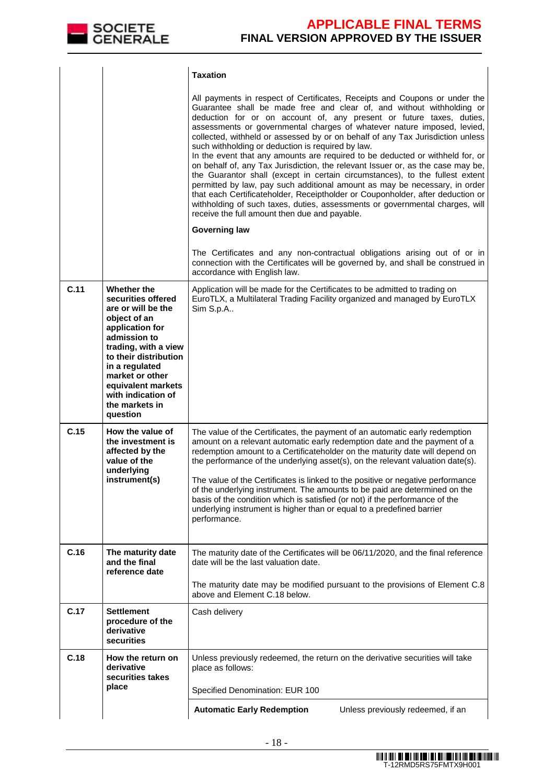

|      |                                                                                                                                                                                                                                                                            | <b>Taxation</b>                                                                                                                                                                                                                                                                                                                                                                                                                                                                                                                                                                                                                                                                                                                                                                                                                                                                                                                                                                                    |
|------|----------------------------------------------------------------------------------------------------------------------------------------------------------------------------------------------------------------------------------------------------------------------------|----------------------------------------------------------------------------------------------------------------------------------------------------------------------------------------------------------------------------------------------------------------------------------------------------------------------------------------------------------------------------------------------------------------------------------------------------------------------------------------------------------------------------------------------------------------------------------------------------------------------------------------------------------------------------------------------------------------------------------------------------------------------------------------------------------------------------------------------------------------------------------------------------------------------------------------------------------------------------------------------------|
|      |                                                                                                                                                                                                                                                                            | All payments in respect of Certificates, Receipts and Coupons or under the<br>Guarantee shall be made free and clear of, and without withholding or<br>deduction for or on account of, any present or future taxes, duties,<br>assessments or governmental charges of whatever nature imposed, levied,<br>collected, withheld or assessed by or on behalf of any Tax Jurisdiction unless<br>such withholding or deduction is required by law.<br>In the event that any amounts are required to be deducted or withheld for, or<br>on behalf of, any Tax Jurisdiction, the relevant Issuer or, as the case may be,<br>the Guarantor shall (except in certain circumstances), to the fullest extent<br>permitted by law, pay such additional amount as may be necessary, in order<br>that each Certificateholder, Receiptholder or Couponholder, after deduction or<br>withholding of such taxes, duties, assessments or governmental charges, will<br>receive the full amount then due and payable. |
|      |                                                                                                                                                                                                                                                                            | <b>Governing law</b>                                                                                                                                                                                                                                                                                                                                                                                                                                                                                                                                                                                                                                                                                                                                                                                                                                                                                                                                                                               |
|      |                                                                                                                                                                                                                                                                            | The Certificates and any non-contractual obligations arising out of or in<br>connection with the Certificates will be governed by, and shall be construed in<br>accordance with English law.                                                                                                                                                                                                                                                                                                                                                                                                                                                                                                                                                                                                                                                                                                                                                                                                       |
| C.11 | Whether the<br>securities offered<br>are or will be the<br>object of an<br>application for<br>admission to<br>trading, with a view<br>to their distribution<br>in a regulated<br>market or other<br>equivalent markets<br>with indication of<br>the markets in<br>question | Application will be made for the Certificates to be admitted to trading on<br>EuroTLX, a Multilateral Trading Facility organized and managed by EuroTLX<br>Sim S.p.A                                                                                                                                                                                                                                                                                                                                                                                                                                                                                                                                                                                                                                                                                                                                                                                                                               |
| C.15 | How the value of<br>the investment is<br>affected by the<br>value of the<br>underlying<br>instrument(s)                                                                                                                                                                    | The value of the Certificates, the payment of an automatic early redemption<br>amount on a relevant automatic early redemption date and the payment of a<br>redemption amount to a Certificateholder on the maturity date will depend on<br>the performance of the underlying asset(s), on the relevant valuation date(s).<br>The value of the Certificates is linked to the positive or negative performance<br>of the underlying instrument. The amounts to be paid are determined on the<br>basis of the condition which is satisfied (or not) if the performance of the<br>underlying instrument is higher than or equal to a predefined barrier<br>performance.                                                                                                                                                                                                                                                                                                                               |
| C.16 | The maturity date<br>and the final<br>reference date                                                                                                                                                                                                                       | The maturity date of the Certificates will be 06/11/2020, and the final reference<br>date will be the last valuation date.<br>The maturity date may be modified pursuant to the provisions of Element C.8<br>above and Element C.18 below.                                                                                                                                                                                                                                                                                                                                                                                                                                                                                                                                                                                                                                                                                                                                                         |
| C.17 | <b>Settlement</b><br>procedure of the<br>derivative<br>securities                                                                                                                                                                                                          | Cash delivery                                                                                                                                                                                                                                                                                                                                                                                                                                                                                                                                                                                                                                                                                                                                                                                                                                                                                                                                                                                      |
| C.18 | How the return on<br>derivative<br>securities takes                                                                                                                                                                                                                        | Unless previously redeemed, the return on the derivative securities will take<br>place as follows:                                                                                                                                                                                                                                                                                                                                                                                                                                                                                                                                                                                                                                                                                                                                                                                                                                                                                                 |
|      | place                                                                                                                                                                                                                                                                      | Specified Denomination: EUR 100                                                                                                                                                                                                                                                                                                                                                                                                                                                                                                                                                                                                                                                                                                                                                                                                                                                                                                                                                                    |
|      |                                                                                                                                                                                                                                                                            | <b>Automatic Early Redemption</b><br>Unless previously redeemed, if an                                                                                                                                                                                                                                                                                                                                                                                                                                                                                                                                                                                                                                                                                                                                                                                                                                                                                                                             |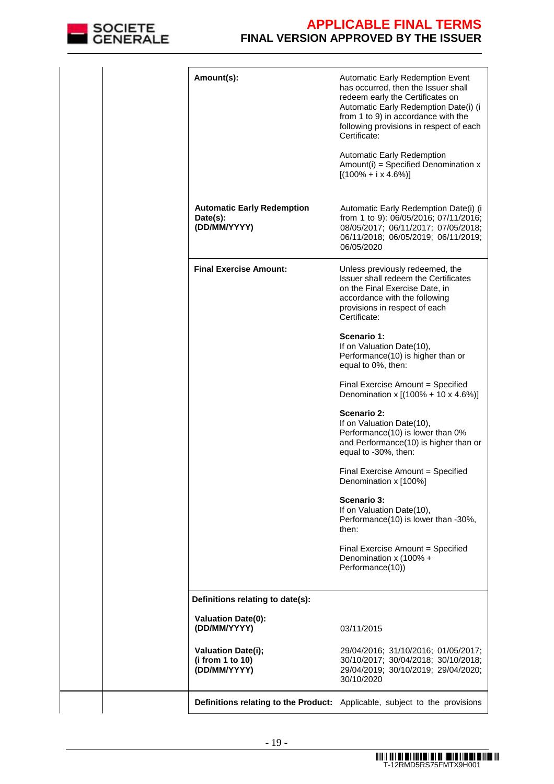

| Amount(s):                                                    | <b>Automatic Early Redemption Event</b><br>has occurred, then the Issuer shall<br>redeem early the Certificates on<br>Automatic Early Redemption Date(i) (i<br>from 1 to 9) in accordance with the<br>following provisions in respect of each<br>Certificate:<br><b>Automatic Early Redemption</b><br>$Amount(i) = Specificd Denominator x$<br>$[(100\% + i \times 4.6\%)]$ |
|---------------------------------------------------------------|-----------------------------------------------------------------------------------------------------------------------------------------------------------------------------------------------------------------------------------------------------------------------------------------------------------------------------------------------------------------------------|
|                                                               |                                                                                                                                                                                                                                                                                                                                                                             |
| <b>Automatic Early Redemption</b><br>Date(s):<br>(DD/MM/YYYY) | Automatic Early Redemption Date(i) (i<br>from 1 to 9): 06/05/2016; 07/11/2016;<br>08/05/2017; 06/11/2017; 07/05/2018;<br>06/11/2018; 06/05/2019; 06/11/2019;<br>06/05/2020                                                                                                                                                                                                  |
| <b>Final Exercise Amount:</b>                                 | Unless previously redeemed, the<br>Issuer shall redeem the Certificates<br>on the Final Exercise Date, in<br>accordance with the following<br>provisions in respect of each<br>Certificate:                                                                                                                                                                                 |
|                                                               | Scenario 1:<br>If on Valuation Date(10),<br>Performance(10) is higher than or<br>equal to 0%, then:                                                                                                                                                                                                                                                                         |
|                                                               | Final Exercise Amount = Specified<br>Denomination x [(100% + 10 x 4.6%)]                                                                                                                                                                                                                                                                                                    |
|                                                               | Scenario 2:<br>If on Valuation Date(10),<br>Performance(10) is lower than 0%<br>and Performance(10) is higher than or<br>equal to -30%, then:                                                                                                                                                                                                                               |
|                                                               | Final Exercise Amount = Specified<br>Denomination x [100%]                                                                                                                                                                                                                                                                                                                  |
|                                                               | Scenario 3:<br>If on Valuation Date(10),<br>Performance(10) is lower than -30%,<br>then:                                                                                                                                                                                                                                                                                    |
|                                                               | Final Exercise Amount = Specified<br>Denomination x (100% +<br>Performance(10))                                                                                                                                                                                                                                                                                             |
| Definitions relating to date(s):                              |                                                                                                                                                                                                                                                                                                                                                                             |
| <b>Valuation Date(0):</b><br>(DD/MM/YYYY)                     | 03/11/2015                                                                                                                                                                                                                                                                                                                                                                  |
| <b>Valuation Date(i);</b><br>(i from 1 to 10)<br>(DD/MM/YYYY) | 29/04/2016; 31/10/2016; 01/05/2017;<br>30/10/2017; 30/04/2018; 30/10/2018;<br>29/04/2019; 30/10/2019; 29/04/2020;<br>30/10/2020                                                                                                                                                                                                                                             |
|                                                               | Definitions relating to the Product: Applicable, subject to the provisions                                                                                                                                                                                                                                                                                                  |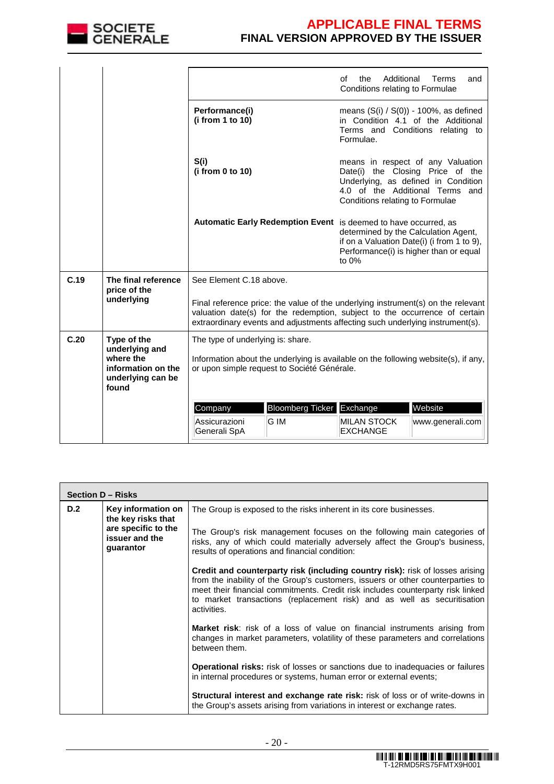

|      |                                                                                                |                                                                                                                                                                                                                                                 |                                   | Additional<br>Ωf<br>the<br>Conditions relating to Formulae                                                                            | Terms<br>and                                                                                                                                    |  |
|------|------------------------------------------------------------------------------------------------|-------------------------------------------------------------------------------------------------------------------------------------------------------------------------------------------------------------------------------------------------|-----------------------------------|---------------------------------------------------------------------------------------------------------------------------------------|-------------------------------------------------------------------------------------------------------------------------------------------------|--|
|      |                                                                                                | Performance(i)<br>(i from 1 to 10)                                                                                                                                                                                                              |                                   | Formulae.                                                                                                                             | means $(S(i) / S(0))$ - 100%, as defined<br>in Condition 4.1 of the Additional<br>Terms and Conditions relating to                              |  |
|      |                                                                                                | S(i)<br>(i from 0 to 10)                                                                                                                                                                                                                        |                                   | Conditions relating to Formulae                                                                                                       | means in respect of any Valuation<br>Date(i) the Closing Price of the<br>Underlying, as defined in Condition<br>4.0 of the Additional Terms and |  |
|      |                                                                                                | Automatic Early Redemption Event is deemed to have occurred, as                                                                                                                                                                                 |                                   | determined by the Calculation Agent,<br>if on a Valuation Date(i) (i from 1 to 9),<br>Performance(i) is higher than or equal<br>to 0% |                                                                                                                                                 |  |
| C.19 | The final reference<br>price of the                                                            | See Element C.18 above.                                                                                                                                                                                                                         |                                   |                                                                                                                                       |                                                                                                                                                 |  |
|      | underlying                                                                                     | Final reference price: the value of the underlying instrument(s) on the relevant<br>valuation date(s) for the redemption, subject to the occurrence of certain<br>extraordinary events and adjustments affecting such underlying instrument(s). |                                   |                                                                                                                                       |                                                                                                                                                 |  |
| C.20 | Type of the<br>underlying and<br>where the<br>information on the<br>underlying can be<br>found | The type of underlying is: share.<br>Information about the underlying is available on the following website(s), if any,<br>or upon simple request to Société Générale.                                                                          |                                   |                                                                                                                                       |                                                                                                                                                 |  |
|      |                                                                                                | Company<br>Assicurazioni<br>Generali SpA                                                                                                                                                                                                        | Bloomberg Ticker Exchange<br>G IM | <b>MILAN STOCK</b><br><b>EXCHANGE</b>                                                                                                 | Website<br>www.generali.com                                                                                                                     |  |

|     | Section D - Risks                                  |                                                                                                                                                                                                                                                                                                                                                      |  |  |  |  |
|-----|----------------------------------------------------|------------------------------------------------------------------------------------------------------------------------------------------------------------------------------------------------------------------------------------------------------------------------------------------------------------------------------------------------------|--|--|--|--|
| D.2 | Key information on<br>the key risks that           | The Group is exposed to the risks inherent in its core businesses.                                                                                                                                                                                                                                                                                   |  |  |  |  |
|     | are specific to the<br>issuer and the<br>guarantor | The Group's risk management focuses on the following main categories of<br>risks, any of which could materially adversely affect the Group's business,<br>results of operations and financial condition:                                                                                                                                             |  |  |  |  |
|     |                                                    | <b>Credit and counterparty risk (including country risk):</b> risk of losses arising<br>from the inability of the Group's customers, issuers or other counterparties to<br>meet their financial commitments. Credit risk includes counterparty risk linked<br>to market transactions (replacement risk) and as well as securitisation<br>activities. |  |  |  |  |
|     |                                                    | <b>Market risk:</b> risk of a loss of value on financial instruments arising from<br>changes in market parameters, volatility of these parameters and correlations<br>between them.                                                                                                                                                                  |  |  |  |  |
|     |                                                    | <b>Operational risks:</b> risk of losses or sanctions due to inadequacies or failures<br>in internal procedures or systems, human error or external events;                                                                                                                                                                                          |  |  |  |  |
|     |                                                    | <b>Structural interest and exchange rate risk:</b> risk of loss or of write-downs in<br>the Group's assets arising from variations in interest or exchange rates.                                                                                                                                                                                    |  |  |  |  |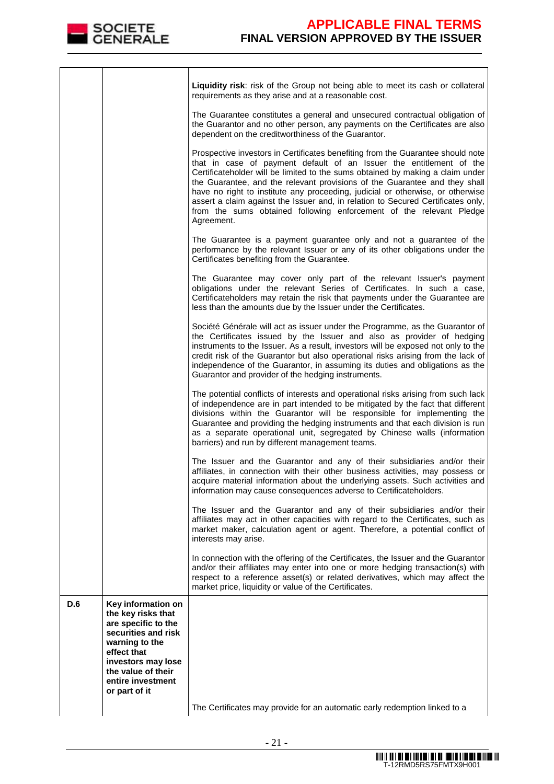

|     |                                                                                                                                                                     | Liquidity risk: risk of the Group not being able to meet its cash or collateral<br>requirements as they arise and at a reasonable cost.                                                                                                                                                                                                                                                                                                                                                                                                                                           |
|-----|---------------------------------------------------------------------------------------------------------------------------------------------------------------------|-----------------------------------------------------------------------------------------------------------------------------------------------------------------------------------------------------------------------------------------------------------------------------------------------------------------------------------------------------------------------------------------------------------------------------------------------------------------------------------------------------------------------------------------------------------------------------------|
|     |                                                                                                                                                                     | The Guarantee constitutes a general and unsecured contractual obligation of<br>the Guarantor and no other person, any payments on the Certificates are also<br>dependent on the creditworthiness of the Guarantor.                                                                                                                                                                                                                                                                                                                                                                |
|     |                                                                                                                                                                     | Prospective investors in Certificates benefiting from the Guarantee should note<br>that in case of payment default of an Issuer the entitlement of the<br>Certificateholder will be limited to the sums obtained by making a claim under<br>the Guarantee, and the relevant provisions of the Guarantee and they shall<br>have no right to institute any proceeding, judicial or otherwise, or otherwise<br>assert a claim against the Issuer and, in relation to Secured Certificates only,<br>from the sums obtained following enforcement of the relevant Pledge<br>Agreement. |
|     |                                                                                                                                                                     | The Guarantee is a payment guarantee only and not a guarantee of the<br>performance by the relevant Issuer or any of its other obligations under the<br>Certificates benefiting from the Guarantee.                                                                                                                                                                                                                                                                                                                                                                               |
|     |                                                                                                                                                                     | The Guarantee may cover only part of the relevant Issuer's payment<br>obligations under the relevant Series of Certificates. In such a case,<br>Certificateholders may retain the risk that payments under the Guarantee are<br>less than the amounts due by the Issuer under the Certificates.                                                                                                                                                                                                                                                                                   |
|     |                                                                                                                                                                     | Société Générale will act as issuer under the Programme, as the Guarantor of<br>the Certificates issued by the Issuer and also as provider of hedging<br>instruments to the Issuer. As a result, investors will be exposed not only to the<br>credit risk of the Guarantor but also operational risks arising from the lack of<br>independence of the Guarantor, in assuming its duties and obligations as the<br>Guarantor and provider of the hedging instruments.                                                                                                              |
|     |                                                                                                                                                                     | The potential conflicts of interests and operational risks arising from such lack<br>of independence are in part intended to be mitigated by the fact that different<br>divisions within the Guarantor will be responsible for implementing the<br>Guarantee and providing the hedging instruments and that each division is run<br>as a separate operational unit, segregated by Chinese walls (information<br>barriers) and run by different management teams.                                                                                                                  |
|     |                                                                                                                                                                     | The Issuer and the Guarantor and any of their subsidiaries and/or their<br>affiliates, in connection with their other business activities, may possess or<br>acquire material information about the underlying assets. Such activities and<br>information may cause consequences adverse to Certificateholders.                                                                                                                                                                                                                                                                   |
|     |                                                                                                                                                                     | The Issuer and the Guarantor and any of their subsidiaries and/or their<br>affiliates may act in other capacities with regard to the Certificates, such as<br>market maker, calculation agent or agent. Therefore, a potential conflict of<br>interests may arise.                                                                                                                                                                                                                                                                                                                |
|     |                                                                                                                                                                     | In connection with the offering of the Certificates, the Issuer and the Guarantor<br>and/or their affiliates may enter into one or more hedging transaction(s) with<br>respect to a reference asset(s) or related derivatives, which may affect the<br>market price, liquidity or value of the Certificates.                                                                                                                                                                                                                                                                      |
| D.6 | Key information on<br>the key risks that<br>are specific to the<br>securities and risk<br>warning to the<br>effect that<br>investors may lose<br>the value of their |                                                                                                                                                                                                                                                                                                                                                                                                                                                                                                                                                                                   |
|     | entire investment<br>or part of it                                                                                                                                  | The Certificates may provide for an automatic early redemption linked to a                                                                                                                                                                                                                                                                                                                                                                                                                                                                                                        |
|     |                                                                                                                                                                     |                                                                                                                                                                                                                                                                                                                                                                                                                                                                                                                                                                                   |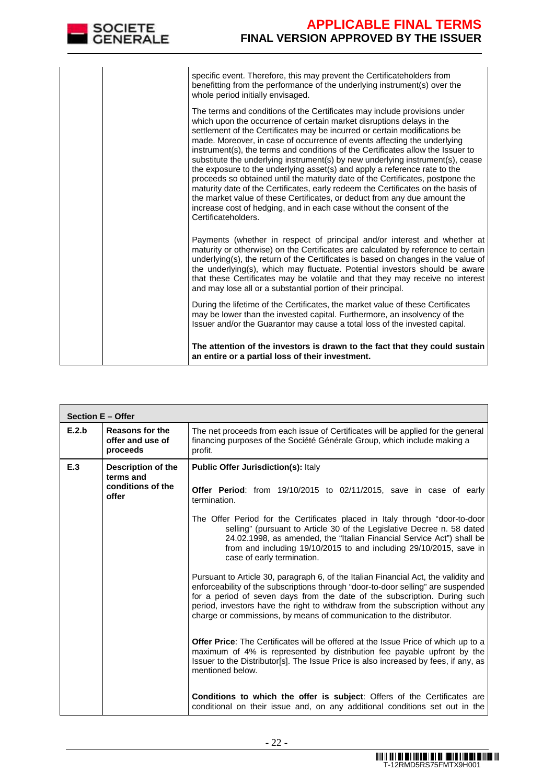| SOCIETE<br>CENERALE | <b>APPLICABLE FINAL TERMS</b><br><b>FINAL VERSION APPROVED BY THE ISSUER</b>                                                                                                                                                                                                                                                                                                                                                                                                                                                                                                                                                                                                                                                                                                                                                                                                                                      |
|---------------------|-------------------------------------------------------------------------------------------------------------------------------------------------------------------------------------------------------------------------------------------------------------------------------------------------------------------------------------------------------------------------------------------------------------------------------------------------------------------------------------------------------------------------------------------------------------------------------------------------------------------------------------------------------------------------------------------------------------------------------------------------------------------------------------------------------------------------------------------------------------------------------------------------------------------|
|                     | specific event. Therefore, this may prevent the Certificateholders from<br>benefitting from the performance of the underlying instrument(s) over the<br>whole period initially envisaged.                                                                                                                                                                                                                                                                                                                                                                                                                                                                                                                                                                                                                                                                                                                         |
|                     | The terms and conditions of the Certificates may include provisions under<br>which upon the occurrence of certain market disruptions delays in the<br>settlement of the Certificates may be incurred or certain modifications be<br>made. Moreover, in case of occurrence of events affecting the underlying<br>instrument(s), the terms and conditions of the Certificates allow the Issuer to<br>substitute the underlying instrument(s) by new underlying instrument(s), cease<br>the exposure to the underlying asset(s) and apply a reference rate to the<br>proceeds so obtained until the maturity date of the Certificates, postpone the<br>maturity date of the Certificates, early redeem the Certificates on the basis of<br>the market value of these Certificates, or deduct from any due amount the<br>increase cost of hedging, and in each case without the consent of the<br>Certificateholders. |
|                     | Payments (whether in respect of principal and/or interest and whether at<br>maturity or otherwise) on the Certificates are calculated by reference to certain<br>underlying(s), the return of the Certificates is based on changes in the value of<br>the underlying(s), which may fluctuate. Potential investors should be aware<br>that these Certificates may be volatile and that they may receive no interest<br>and may lose all or a substantial portion of their principal.                                                                                                                                                                                                                                                                                                                                                                                                                               |
|                     | During the lifetime of the Certificates, the market value of these Certificates<br>may be lower than the invested capital. Furthermore, an insolvency of the<br>Issuer and/or the Guarantor may cause a total loss of the invested capital.                                                                                                                                                                                                                                                                                                                                                                                                                                                                                                                                                                                                                                                                       |
|                     | The attention of the investors is drawn to the fact that they could sustain<br>an entire or a partial loss of their investment.                                                                                                                                                                                                                                                                                                                                                                                                                                                                                                                                                                                                                                                                                                                                                                                   |

|       | <b>Section E - Offer</b>                                      |                                                                                                                                                                                                                                                                                                                                                                                                                                                                                                                                                                                                                                                                                                                                                                                                                                                                                                                                                                                                                                                                                                                                                                                                                                                                      |  |  |  |  |  |
|-------|---------------------------------------------------------------|----------------------------------------------------------------------------------------------------------------------------------------------------------------------------------------------------------------------------------------------------------------------------------------------------------------------------------------------------------------------------------------------------------------------------------------------------------------------------------------------------------------------------------------------------------------------------------------------------------------------------------------------------------------------------------------------------------------------------------------------------------------------------------------------------------------------------------------------------------------------------------------------------------------------------------------------------------------------------------------------------------------------------------------------------------------------------------------------------------------------------------------------------------------------------------------------------------------------------------------------------------------------|--|--|--|--|--|
| E.2.b | <b>Reasons for the</b><br>offer and use of<br>proceeds        | The net proceeds from each issue of Certificates will be applied for the general<br>financing purposes of the Société Générale Group, which include making a<br>profit.                                                                                                                                                                                                                                                                                                                                                                                                                                                                                                                                                                                                                                                                                                                                                                                                                                                                                                                                                                                                                                                                                              |  |  |  |  |  |
| E.3   | Description of the<br>terms and<br>conditions of the<br>offer | <b>Public Offer Jurisdiction(s): Italy</b><br><b>Offer Period:</b> from 19/10/2015 to 02/11/2015, save in case of early<br>termination.<br>The Offer Period for the Certificates placed in Italy through "door-to-door<br>selling" (pursuant to Article 30 of the Legislative Decree n. 58 dated<br>24.02.1998, as amended, the "Italian Financial Service Act") shall be<br>from and including 19/10/2015 to and including 29/10/2015, save in<br>case of early termination.<br>Pursuant to Article 30, paragraph 6, of the Italian Financial Act, the validity and<br>enforceability of the subscriptions through "door-to-door selling" are suspended<br>for a period of seven days from the date of the subscription. During such<br>period, investors have the right to withdraw from the subscription without any<br>charge or commissions, by means of communication to the distributor.<br><b>Offer Price:</b> The Certificates will be offered at the Issue Price of which up to a<br>maximum of 4% is represented by distribution fee payable upfront by the<br>Issuer to the Distributor[s]. The Issue Price is also increased by fees, if any, as<br>mentioned below.<br><b>Conditions to which the offer is subject:</b> Offers of the Certificates are |  |  |  |  |  |
|       |                                                               | conditional on their issue and, on any additional conditions set out in the                                                                                                                                                                                                                                                                                                                                                                                                                                                                                                                                                                                                                                                                                                                                                                                                                                                                                                                                                                                                                                                                                                                                                                                          |  |  |  |  |  |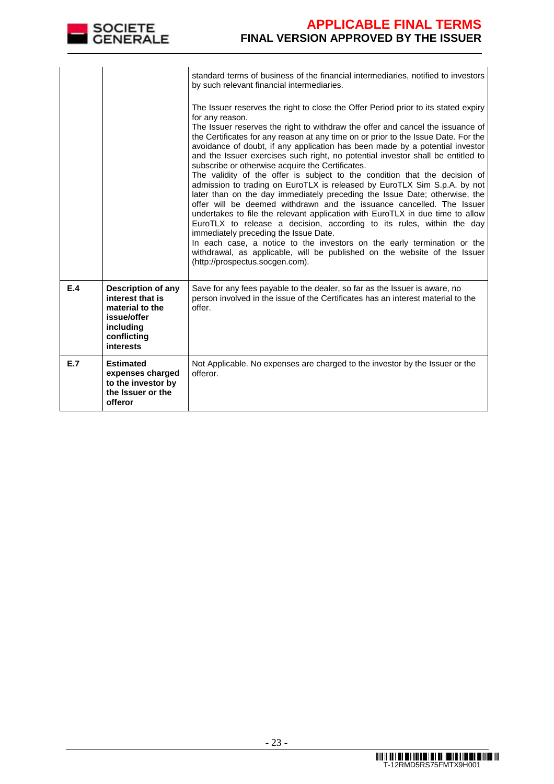

|     |                                                                                                                   | standard terms of business of the financial intermediaries, notified to investors<br>by such relevant financial intermediaries.<br>The Issuer reserves the right to close the Offer Period prior to its stated expiry<br>for any reason.<br>The Issuer reserves the right to withdraw the offer and cancel the issuance of<br>the Certificates for any reason at any time on or prior to the Issue Date. For the<br>avoidance of doubt, if any application has been made by a potential investor<br>and the Issuer exercises such right, no potential investor shall be entitled to<br>subscribe or otherwise acquire the Certificates.<br>The validity of the offer is subject to the condition that the decision of<br>admission to trading on EuroTLX is released by EuroTLX Sim S.p.A. by not<br>later than on the day immediately preceding the Issue Date; otherwise, the<br>offer will be deemed withdrawn and the issuance cancelled. The Issuer<br>undertakes to file the relevant application with EuroTLX in due time to allow<br>EuroTLX to release a decision, according to its rules, within the day<br>immediately preceding the Issue Date.<br>In each case, a notice to the investors on the early termination or the<br>withdrawal, as applicable, will be published on the website of the Issuer |
|-----|-------------------------------------------------------------------------------------------------------------------|---------------------------------------------------------------------------------------------------------------------------------------------------------------------------------------------------------------------------------------------------------------------------------------------------------------------------------------------------------------------------------------------------------------------------------------------------------------------------------------------------------------------------------------------------------------------------------------------------------------------------------------------------------------------------------------------------------------------------------------------------------------------------------------------------------------------------------------------------------------------------------------------------------------------------------------------------------------------------------------------------------------------------------------------------------------------------------------------------------------------------------------------------------------------------------------------------------------------------------------------------------------------------------------------------------------------|
|     |                                                                                                                   | (http://prospectus.socgen.com).                                                                                                                                                                                                                                                                                                                                                                                                                                                                                                                                                                                                                                                                                                                                                                                                                                                                                                                                                                                                                                                                                                                                                                                                                                                                                     |
| E.4 | Description of any<br>interest that is<br>material to the<br>issue/offer<br>including<br>conflicting<br>interests | Save for any fees payable to the dealer, so far as the Issuer is aware, no<br>person involved in the issue of the Certificates has an interest material to the<br>offer.                                                                                                                                                                                                                                                                                                                                                                                                                                                                                                                                                                                                                                                                                                                                                                                                                                                                                                                                                                                                                                                                                                                                            |
| E.7 | <b>Estimated</b><br>expenses charged<br>to the investor by<br>the Issuer or the<br>offeror                        | Not Applicable. No expenses are charged to the investor by the Issuer or the<br>offeror.                                                                                                                                                                                                                                                                                                                                                                                                                                                                                                                                                                                                                                                                                                                                                                                                                                                                                                                                                                                                                                                                                                                                                                                                                            |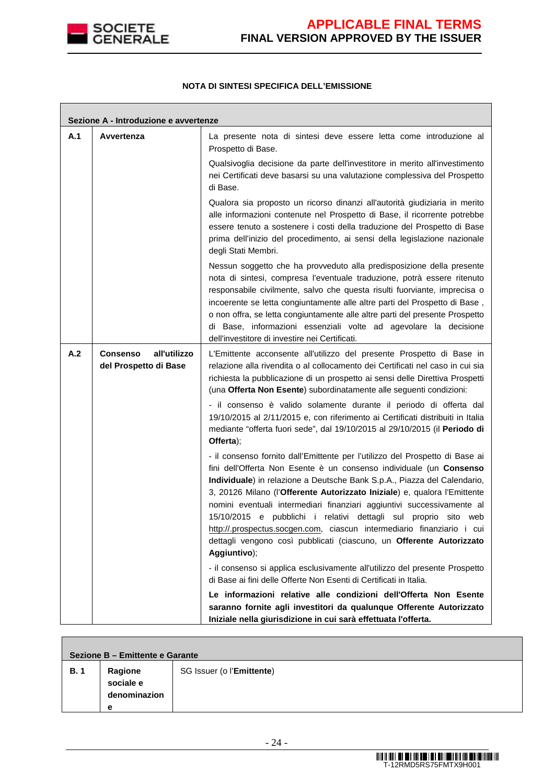

### **NOTA DI SINTESI SPECIFICA DELL'EMISSIONE**

| Sezione A - Introduzione e avvertenze |                                                   |                                                                                                                                                                                                                                                                                                                                                                                                                                                                                                                                                                                                                             |  |  |  |
|---------------------------------------|---------------------------------------------------|-----------------------------------------------------------------------------------------------------------------------------------------------------------------------------------------------------------------------------------------------------------------------------------------------------------------------------------------------------------------------------------------------------------------------------------------------------------------------------------------------------------------------------------------------------------------------------------------------------------------------------|--|--|--|
| A.1                                   | Avvertenza                                        | La presente nota di sintesi deve essere letta come introduzione al<br>Prospetto di Base.                                                                                                                                                                                                                                                                                                                                                                                                                                                                                                                                    |  |  |  |
|                                       |                                                   | Qualsivoglia decisione da parte dell'investitore in merito all'investimento<br>nei Certificati deve basarsi su una valutazione complessiva del Prospetto<br>di Base.                                                                                                                                                                                                                                                                                                                                                                                                                                                        |  |  |  |
|                                       |                                                   | Qualora sia proposto un ricorso dinanzi all'autorità giudiziaria in merito<br>alle informazioni contenute nel Prospetto di Base, il ricorrente potrebbe<br>essere tenuto a sostenere i costi della traduzione del Prospetto di Base<br>prima dell'inizio del procedimento, ai sensi della legislazione nazionale<br>degli Stati Membri.                                                                                                                                                                                                                                                                                     |  |  |  |
|                                       |                                                   | Nessun soggetto che ha provveduto alla predisposizione della presente<br>nota di sintesi, compresa l'eventuale traduzione, potrà essere ritenuto<br>responsabile civilmente, salvo che questa risulti fuorviante, imprecisa o<br>incoerente se letta congiuntamente alle altre parti del Prospetto di Base,<br>o non offra, se letta congiuntamente alle altre parti del presente Prospetto<br>di Base, informazioni essenziali volte ad agevolare la decisione<br>dell'investitore di investire nei Certificati.                                                                                                           |  |  |  |
| A.2                                   | all'utilizzo<br>Consenso<br>del Prospetto di Base | L'Emittente acconsente all'utilizzo del presente Prospetto di Base in<br>relazione alla rivendita o al collocamento dei Certificati nel caso in cui sia<br>richiesta la pubblicazione di un prospetto ai sensi delle Direttiva Prospetti<br>(una Offerta Non Esente) subordinatamente alle seguenti condizioni:<br>- il consenso è valido solamente durante il periodo di offerta dal<br>19/10/2015 al 2/11/2015 e, con riferimento ai Certificati distribuiti in Italia<br>mediante "offerta fuori sede", dal 19/10/2015 al 29/10/2015 (il Periodo di<br>Offerta);                                                         |  |  |  |
|                                       |                                                   | - il consenso fornito dall'Emittente per l'utilizzo del Prospetto di Base ai<br>fini dell'Offerta Non Esente è un consenso individuale (un Consenso<br>Individuale) in relazione a Deutsche Bank S.p.A., Piazza del Calendario,<br>3, 20126 Milano (l'Offerente Autorizzato Iniziale) e, qualora l'Emittente<br>nomini eventuali intermediari finanziari aggiuntivi successivamente al<br>15/10/2015 e pubblichi i relativi dettagli sul proprio sito web<br>http://.prospectus.socgen.com, ciascun intermediario finanziario i cui<br>dettagli vengono così pubblicati (ciascuno, un Offerente Autorizzato<br>Aggiuntivo); |  |  |  |
|                                       |                                                   | - il consenso si applica esclusivamente all'utilizzo del presente Prospetto<br>di Base ai fini delle Offerte Non Esenti di Certificati in Italia.                                                                                                                                                                                                                                                                                                                                                                                                                                                                           |  |  |  |
|                                       |                                                   | Le informazioni relative alle condizioni dell'Offerta Non Esente<br>saranno fornite agli investitori da qualunque Offerente Autorizzato<br>Iniziale nella giurisdizione in cui sarà effettuata l'offerta.                                                                                                                                                                                                                                                                                                                                                                                                                   |  |  |  |

| Sezione B - Emittente e Garante |                                           |                           |
|---------------------------------|-------------------------------------------|---------------------------|
| <b>B.1</b>                      | Ragione<br>sociale e<br>denominazion<br>е | SG Issuer (o l'Emittente) |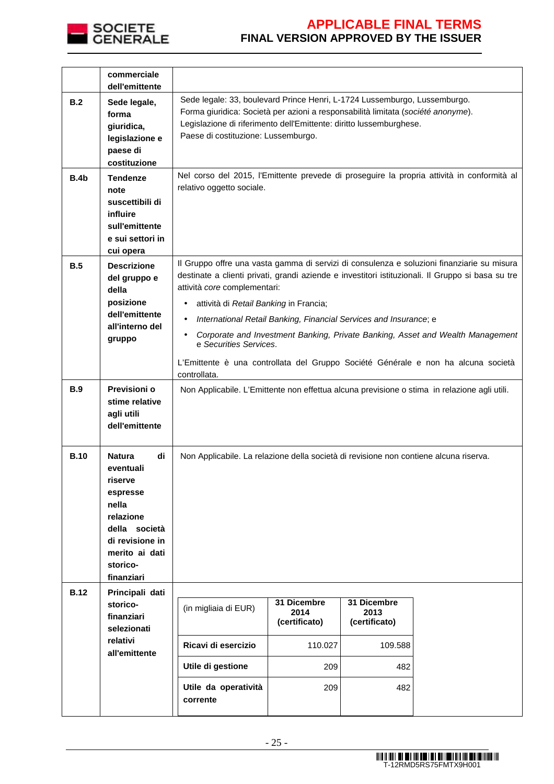

|             | commerciale<br>dell'emittente                                                                                                                                 |                                                                                                                                                                                                                                                                                                                                                                                                                                                                                                                                                                 |                                      |                                      |                                                                                            |
|-------------|---------------------------------------------------------------------------------------------------------------------------------------------------------------|-----------------------------------------------------------------------------------------------------------------------------------------------------------------------------------------------------------------------------------------------------------------------------------------------------------------------------------------------------------------------------------------------------------------------------------------------------------------------------------------------------------------------------------------------------------------|--------------------------------------|--------------------------------------|--------------------------------------------------------------------------------------------|
| B.2         | Sede legale,<br>forma<br>giuridica,<br>legislazione e<br>paese di<br>costituzione                                                                             | Sede legale: 33, boulevard Prince Henri, L-1724 Lussemburgo, Lussemburgo.<br>Forma giuridica: Società per azioni a responsabilità limitata (société anonyme).<br>Legislazione di riferimento dell'Emittente: diritto lussemburghese.<br>Paese di costituzione: Lussemburgo.                                                                                                                                                                                                                                                                                     |                                      |                                      |                                                                                            |
| <b>B.4b</b> | <b>Tendenze</b><br>note<br>suscettibili di<br>influire<br>sull'emittente<br>e sui settori in<br>cui opera                                                     | relativo oggetto sociale.                                                                                                                                                                                                                                                                                                                                                                                                                                                                                                                                       |                                      |                                      | Nel corso del 2015, l'Emittente prevede di proseguire la propria attività in conformità al |
| B.5         | <b>Descrizione</b><br>del gruppo e<br>della<br>posizione<br>dell'emittente<br>all'interno del<br>gruppo                                                       | Il Gruppo offre una vasta gamma di servizi di consulenza e soluzioni finanziarie su misura<br>destinate a clienti privati, grandi aziende e investitori istituzionali. Il Gruppo si basa su tre<br>attività core complementari:<br>attività di Retail Banking in Francia;<br>International Retail Banking, Financial Services and Insurance; e<br>Corporate and Investment Banking, Private Banking, Asset and Wealth Management<br>e Securities Services.<br>L'Emittente è una controllata del Gruppo Société Générale e non ha alcuna società<br>controllata. |                                      |                                      |                                                                                            |
| <b>B.9</b>  | Previsioni o<br>stime relative<br>agli utili<br>dell'emittente                                                                                                | Non Applicabile. L'Emittente non effettua alcuna previsione o stima in relazione agli utili.                                                                                                                                                                                                                                                                                                                                                                                                                                                                    |                                      |                                      |                                                                                            |
| <b>B.10</b> | <b>Natura</b><br>di<br>eventuali<br>riserve<br>espresse<br>nella<br>relazione<br>della società<br>di revisione in<br>merito ai dati<br>storico-<br>finanziari | Non Applicabile. La relazione della società di revisione non contiene alcuna riserva.                                                                                                                                                                                                                                                                                                                                                                                                                                                                           |                                      |                                      |                                                                                            |
| <b>B.12</b> | Principali dati<br>storico-<br>finanziari<br>selezionati                                                                                                      | (in migliaia di EUR)                                                                                                                                                                                                                                                                                                                                                                                                                                                                                                                                            | 31 Dicembre<br>2014<br>(certificato) | 31 Dicembre<br>2013<br>(certificato) |                                                                                            |
|             | relativi<br>all'emittente                                                                                                                                     | Ricavi di esercizio                                                                                                                                                                                                                                                                                                                                                                                                                                                                                                                                             | 110.027                              | 109.588                              |                                                                                            |
|             |                                                                                                                                                               | Utile di gestione                                                                                                                                                                                                                                                                                                                                                                                                                                                                                                                                               | 209                                  | 482                                  |                                                                                            |
|             |                                                                                                                                                               | Utile da operatività<br>corrente                                                                                                                                                                                                                                                                                                                                                                                                                                                                                                                                | 209                                  | 482                                  |                                                                                            |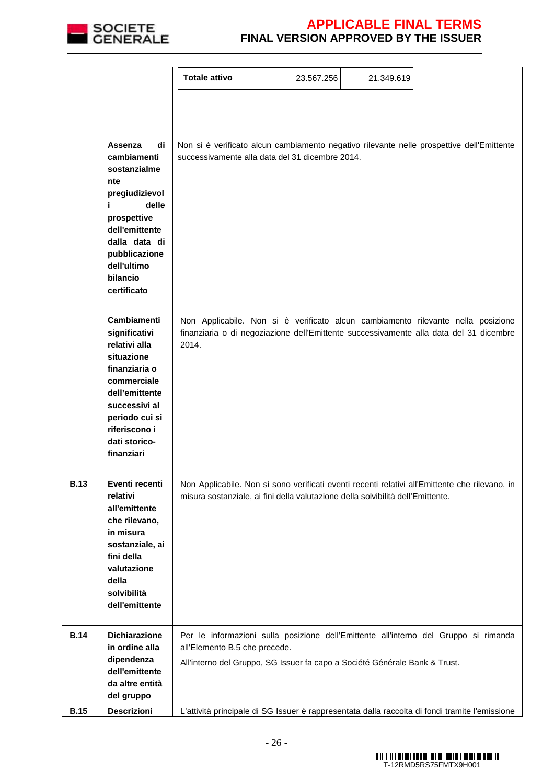

|             |                                                                                                                                                                                                         | <b>Totale attivo</b>                                                                                        | 23.567.256 | 21.349.619 |                                                                                                                                                                            |
|-------------|---------------------------------------------------------------------------------------------------------------------------------------------------------------------------------------------------------|-------------------------------------------------------------------------------------------------------------|------------|------------|----------------------------------------------------------------------------------------------------------------------------------------------------------------------------|
|             |                                                                                                                                                                                                         |                                                                                                             |            |            |                                                                                                                                                                            |
|             |                                                                                                                                                                                                         |                                                                                                             |            |            |                                                                                                                                                                            |
|             | Assenza<br>di<br>cambiamenti<br>sostanzialme<br>nte<br>pregiudizievol<br>delle<br>prospettive<br>dell'emittente<br>dalla data di<br>pubblicazione<br>dell'ultimo<br>bilancio<br>certificato             | successivamente alla data del 31 dicembre 2014.                                                             |            |            | Non si è verificato alcun cambiamento negativo rilevante nelle prospettive dell'Emittente                                                                                  |
|             | <b>Cambiamenti</b><br>significativi<br>relativi alla<br>situazione<br>finanziaria o<br>commerciale<br>dell'emittente<br>successivi al<br>periodo cui si<br>riferiscono i<br>dati storico-<br>finanziari | 2014.                                                                                                       |            |            | Non Applicabile. Non si è verificato alcun cambiamento rilevante nella posizione<br>finanziaria o di negoziazione dell'Emittente successivamente alla data del 31 dicembre |
| <b>B.13</b> | Eventi recenti<br>relativi<br>all'emittente<br>che rilevano,<br>in misura<br>sostanziale, ai<br>fini della<br>valutazione<br>della<br>solvibilità<br>dell'emittente                                     | misura sostanziale, ai fini della valutazione della solvibilità dell'Emittente.                             |            |            | Non Applicabile. Non si sono verificati eventi recenti relativi all'Emittente che rilevano, in                                                                             |
| <b>B.14</b> | Dichiarazione<br>in ordine alla<br>dipendenza                                                                                                                                                           | all'Elemento B.5 che precede.<br>All'interno del Gruppo, SG Issuer fa capo a Société Générale Bank & Trust. |            |            | Per le informazioni sulla posizione dell'Emittente all'interno del Gruppo si rimanda                                                                                       |
|             | dell'emittente<br>da altre entità<br>del gruppo                                                                                                                                                         |                                                                                                             |            |            |                                                                                                                                                                            |
| <b>B.15</b> | Descrizioni                                                                                                                                                                                             |                                                                                                             |            |            | L'attività principale di SG Issuer è rappresentata dalla raccolta di fondi tramite l'emissione                                                                             |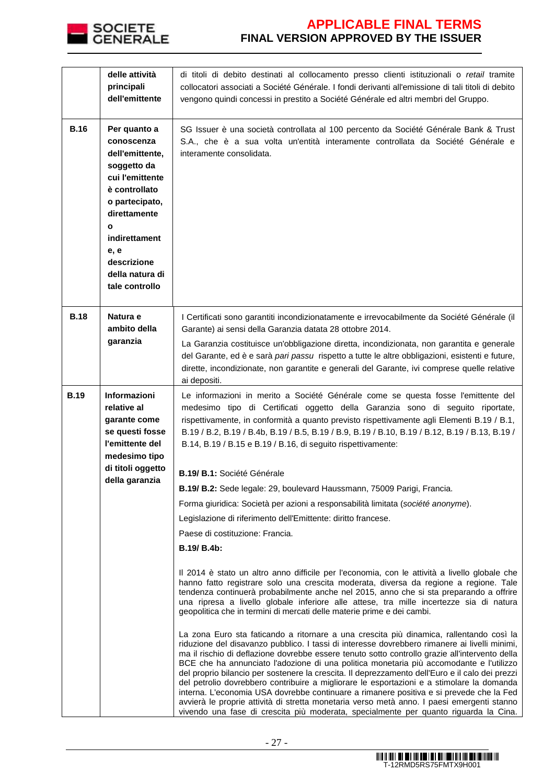

|             | delle attività<br>principali<br>dell'emittente                                                                                                                                                                       | di titoli di debito destinati al collocamento presso clienti istituzionali o retail tramite<br>collocatori associati a Société Générale. I fondi derivanti all'emissione di tali titoli di debito<br>vengono quindi concessi in prestito a Société Générale ed altri membri del Gruppo.                                                                                                                                                                                                                                                                                                                                                                                                                                                                                                                                                                                |
|-------------|----------------------------------------------------------------------------------------------------------------------------------------------------------------------------------------------------------------------|------------------------------------------------------------------------------------------------------------------------------------------------------------------------------------------------------------------------------------------------------------------------------------------------------------------------------------------------------------------------------------------------------------------------------------------------------------------------------------------------------------------------------------------------------------------------------------------------------------------------------------------------------------------------------------------------------------------------------------------------------------------------------------------------------------------------------------------------------------------------|
| <b>B.16</b> | Per quanto a<br>conoscenza<br>dell'emittente,<br>soggetto da<br>cui l'emittente<br>è controllato<br>o partecipato,<br>direttamente<br>O<br>indirettament<br>e, e<br>descrizione<br>della natura di<br>tale controllo | SG Issuer è una società controllata al 100 percento da Société Générale Bank & Trust<br>S.A., che è a sua volta un'entità interamente controllata da Société Générale e<br>interamente consolidata.                                                                                                                                                                                                                                                                                                                                                                                                                                                                                                                                                                                                                                                                    |
| <b>B.18</b> | Natura e<br>ambito della<br>garanzia                                                                                                                                                                                 | I Certificati sono garantiti incondizionatamente e irrevocabilmente da Société Générale (il<br>Garante) ai sensi della Garanzia datata 28 ottobre 2014.<br>La Garanzia costituisce un'obbligazione diretta, incondizionata, non garantita e generale<br>del Garante, ed è e sarà pari passu rispetto a tutte le altre obbligazioni, esistenti e future,<br>dirette, incondizionate, non garantite e generali del Garante, ivi comprese quelle relative<br>ai depositi.                                                                                                                                                                                                                                                                                                                                                                                                 |
| <b>B.19</b> | Informazioni<br>relative al<br>garante come<br>se questi fosse<br>l'emittente del<br>medesimo tipo<br>di titoli oggetto<br>della garanzia                                                                            | Le informazioni in merito a Société Générale come se questa fosse l'emittente del<br>medesimo tipo di Certificati oggetto della Garanzia sono di seguito riportate,<br>rispettivamente, in conformità a quanto previsto rispettivamente agli Elementi B.19 / B.1,<br>B.19 / B.2, B.19 / B.4b, B.19 / B.5, B.19 / B.9, B.19 / B.10, B.19 / B.12, B.19 / B.13, B.19 /<br>B.14, B.19 / B.15 e B.19 / B.16, di seguito rispettivamente:                                                                                                                                                                                                                                                                                                                                                                                                                                    |
|             |                                                                                                                                                                                                                      | B.19/ B.1: Société Générale                                                                                                                                                                                                                                                                                                                                                                                                                                                                                                                                                                                                                                                                                                                                                                                                                                            |
|             |                                                                                                                                                                                                                      | B.19/ B.2: Sede legale: 29, boulevard Haussmann, 75009 Parigi, Francia.                                                                                                                                                                                                                                                                                                                                                                                                                                                                                                                                                                                                                                                                                                                                                                                                |
|             |                                                                                                                                                                                                                      | Forma giuridica: Società per azioni a responsabilità limitata (société anonyme).                                                                                                                                                                                                                                                                                                                                                                                                                                                                                                                                                                                                                                                                                                                                                                                       |
|             |                                                                                                                                                                                                                      | Legislazione di riferimento dell'Emittente: diritto francese.                                                                                                                                                                                                                                                                                                                                                                                                                                                                                                                                                                                                                                                                                                                                                                                                          |
|             |                                                                                                                                                                                                                      | Paese di costituzione: Francia.                                                                                                                                                                                                                                                                                                                                                                                                                                                                                                                                                                                                                                                                                                                                                                                                                                        |
|             |                                                                                                                                                                                                                      | B.19/ B.4b:                                                                                                                                                                                                                                                                                                                                                                                                                                                                                                                                                                                                                                                                                                                                                                                                                                                            |
|             |                                                                                                                                                                                                                      | Il 2014 è stato un altro anno difficile per l'economia, con le attività a livello globale che<br>hanno fatto registrare solo una crescita moderata, diversa da regione a regione. Tale<br>tendenza continuerà probabilmente anche nel 2015, anno che si sta preparando a offrire<br>una ripresa a livello globale inferiore alle attese, tra mille incertezze sia di natura<br>geopolitica che in termini di mercati delle materie prime e dei cambi.                                                                                                                                                                                                                                                                                                                                                                                                                  |
|             |                                                                                                                                                                                                                      | La zona Euro sta faticando a ritornare a una crescita più dinamica, rallentando così la<br>riduzione del disavanzo pubblico. I tassi di interesse dovrebbero rimanere ai livelli minimi,<br>ma il rischio di deflazione dovrebbe essere tenuto sotto controllo grazie all'intervento della<br>BCE che ha annunciato l'adozione di una politica monetaria più accomodante e l'utilizzo<br>del proprio bilancio per sostenere la crescita. Il deprezzamento dell'Euro e il calo dei prezzi<br>del petrolio dovrebbero contribuire a migliorare le esportazioni e a stimolare la domanda<br>interna. L'economia USA dovrebbe continuare a rimanere positiva e si prevede che la Fed<br>avvierà le proprie attività di stretta monetaria verso metà anno. I paesi emergenti stanno<br>vivendo una fase di crescita più moderata, specialmente per quanto riguarda la Cina. |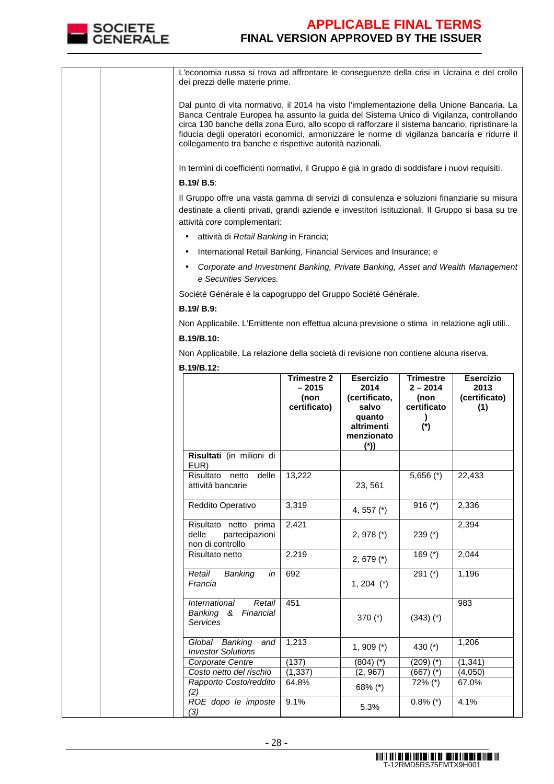

| L'economia russa si trova ad affrontare le conseguenze della crisi in Ucraina e del crollo<br>dei prezzi delle materie prime.                                                                                                                                                                                                                                                                                                                     |                                 |                                                                      |                                            |                              |
|---------------------------------------------------------------------------------------------------------------------------------------------------------------------------------------------------------------------------------------------------------------------------------------------------------------------------------------------------------------------------------------------------------------------------------------------------|---------------------------------|----------------------------------------------------------------------|--------------------------------------------|------------------------------|
| Dal punto di vita normativo, il 2014 ha visto l'implementazione della Unione Bancaria. La<br>Banca Centrale Europea ha assunto la guida del Sistema Unico di Vigilanza, controllando<br>circa 130 banche della zona Euro, allo scopo di rafforzare il sistema bancario, ripristinare la<br>fiducia degli operatori economici, armonizzare le norme di vigilanza bancaria e ridurre il<br>collegamento tra banche e rispettive autorità nazionali. |                                 |                                                                      |                                            |                              |
| In termini di coefficienti normativi, il Gruppo è già in grado di soddisfare i nuovi requisiti.                                                                                                                                                                                                                                                                                                                                                   |                                 |                                                                      |                                            |                              |
| <b>B.19/ B.5:</b>                                                                                                                                                                                                                                                                                                                                                                                                                                 |                                 |                                                                      |                                            |                              |
| Il Gruppo offre una vasta gamma di servizi di consulenza e soluzioni finanziarie su misura<br>destinate a clienti privati, grandi aziende e investitori istituzionali. Il Gruppo si basa su tre<br>attività core complementari:                                                                                                                                                                                                                   |                                 |                                                                      |                                            |                              |
| attività di Retail Banking in Francia;                                                                                                                                                                                                                                                                                                                                                                                                            |                                 |                                                                      |                                            |                              |
| International Retail Banking, Financial Services and Insurance; e                                                                                                                                                                                                                                                                                                                                                                                 |                                 |                                                                      |                                            |                              |
| Corporate and Investment Banking, Private Banking, Asset and Wealth Management<br>e Securities Services.                                                                                                                                                                                                                                                                                                                                          |                                 |                                                                      |                                            |                              |
| Société Générale è la capogruppo del Gruppo Société Générale.                                                                                                                                                                                                                                                                                                                                                                                     |                                 |                                                                      |                                            |                              |
| B.19/ B.9:                                                                                                                                                                                                                                                                                                                                                                                                                                        |                                 |                                                                      |                                            |                              |
| Non Applicabile. L'Emittente non effettua alcuna previsione o stima in relazione agli utili                                                                                                                                                                                                                                                                                                                                                       |                                 |                                                                      |                                            |                              |
| B.19/B.10:                                                                                                                                                                                                                                                                                                                                                                                                                                        |                                 |                                                                      |                                            |                              |
| Non Applicabile. La relazione della società di revisione non contiene alcuna riserva.                                                                                                                                                                                                                                                                                                                                                             |                                 |                                                                      |                                            |                              |
| B.19/B.12:                                                                                                                                                                                                                                                                                                                                                                                                                                        |                                 |                                                                      |                                            |                              |
|                                                                                                                                                                                                                                                                                                                                                                                                                                                   | <b>Trimestre 2</b>              | <b>Esercizio</b>                                                     | <b>Trimestre</b>                           | <b>Esercizio</b>             |
|                                                                                                                                                                                                                                                                                                                                                                                                                                                   | $-2015$<br>(non<br>certificato) | 2014<br>(certificato,<br>salvo<br>quanto<br>altrimenti<br>menzionato | $2 - 2014$<br>(non<br>certificato<br>$(*)$ | 2013<br>(certificato)<br>(1) |
|                                                                                                                                                                                                                                                                                                                                                                                                                                                   |                                 | $(*)$                                                                |                                            |                              |
| Risultati (in milioni di<br>EUR)                                                                                                                                                                                                                                                                                                                                                                                                                  |                                 |                                                                      |                                            |                              |
| Risultato netto delle<br>attività bancarie                                                                                                                                                                                                                                                                                                                                                                                                        | 13,222                          | 23, 561                                                              | $5,656$ (*)                                | 22,433                       |
| Reddito Operativo                                                                                                                                                                                                                                                                                                                                                                                                                                 | 3,319                           | 4, 557 $(*)$                                                         | 916 $(*)$                                  | 2,336                        |
| Risultato netto prima<br>delle<br>partecipazioni<br>non di controllo                                                                                                                                                                                                                                                                                                                                                                              | 2,421                           | 2, 978 $(*)$                                                         | 239 $(*)$                                  | 2,394                        |
| Risultato netto                                                                                                                                                                                                                                                                                                                                                                                                                                   | 2,219                           | 2, 679 $(*)$                                                         | 169 $(*)$                                  | 2,044                        |
| Retail<br>Banking<br>in<br>Francia                                                                                                                                                                                                                                                                                                                                                                                                                | 692                             | $1, 204$ (*)                                                         | 291 $(*)$                                  | 1,196                        |
| International<br>Retail<br>Banking & Financial<br>Services                                                                                                                                                                                                                                                                                                                                                                                        | 451                             | 370 (*)                                                              | $(343)$ $(*)$                              | 983                          |
| Global Banking<br>and<br><b>Investor Solutions</b>                                                                                                                                                                                                                                                                                                                                                                                                | 1,213                           | 1, 909 $(*)$                                                         | 430 $(*)$                                  | 1,206                        |
| Corporate Centre                                                                                                                                                                                                                                                                                                                                                                                                                                  | (137)                           | $(804)$ $(*)$                                                        | (209) (*)                                  | (1, 341)                     |
| Costo netto del rischio<br>Rapporto Costo/reddito                                                                                                                                                                                                                                                                                                                                                                                                 | (1, 337)<br>64.8%               | (2, 967)                                                             | $(667)$ $(*)$<br>72% (*)                   | (4,050)<br>67.0%             |
| (2)                                                                                                                                                                                                                                                                                                                                                                                                                                               |                                 | 68% (*)                                                              |                                            |                              |
| ROE dopo le imposte<br>(3)                                                                                                                                                                                                                                                                                                                                                                                                                        | 9.1%                            | 5.3%                                                                 | $0.8\%$ (*)                                | 4.1%                         |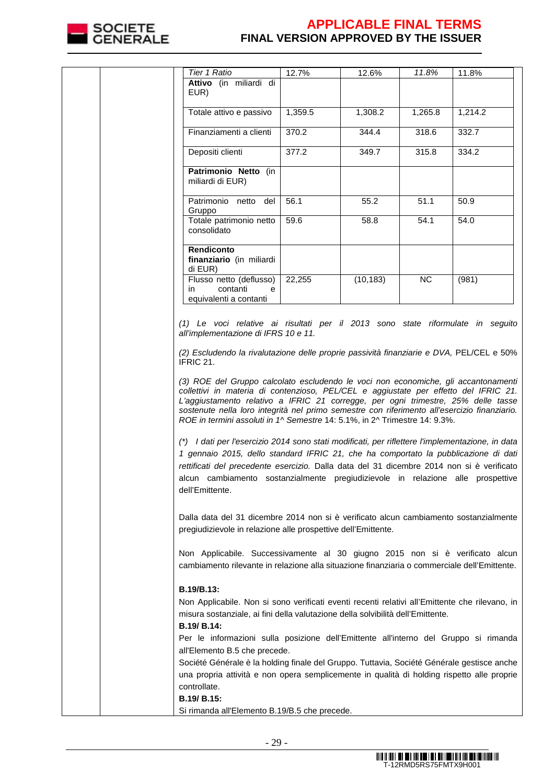

| Tier 1 Ratio                                                                                                                                                                                                                                                                                                                                                                                                                                                                                                                                                                                                                                                                                                                                                                                                                                             | 12.7%   | 12.6%     | 11.8%     | 11.8%   |
|----------------------------------------------------------------------------------------------------------------------------------------------------------------------------------------------------------------------------------------------------------------------------------------------------------------------------------------------------------------------------------------------------------------------------------------------------------------------------------------------------------------------------------------------------------------------------------------------------------------------------------------------------------------------------------------------------------------------------------------------------------------------------------------------------------------------------------------------------------|---------|-----------|-----------|---------|
| Attivo (in miliardi di                                                                                                                                                                                                                                                                                                                                                                                                                                                                                                                                                                                                                                                                                                                                                                                                                                   |         |           |           |         |
| EUR)                                                                                                                                                                                                                                                                                                                                                                                                                                                                                                                                                                                                                                                                                                                                                                                                                                                     |         |           |           |         |
|                                                                                                                                                                                                                                                                                                                                                                                                                                                                                                                                                                                                                                                                                                                                                                                                                                                          |         |           |           |         |
| Totale attivo e passivo                                                                                                                                                                                                                                                                                                                                                                                                                                                                                                                                                                                                                                                                                                                                                                                                                                  | 1,359.5 | 1,308.2   | 1,265.8   | 1,214.2 |
|                                                                                                                                                                                                                                                                                                                                                                                                                                                                                                                                                                                                                                                                                                                                                                                                                                                          |         |           |           |         |
| Finanziamenti a clienti                                                                                                                                                                                                                                                                                                                                                                                                                                                                                                                                                                                                                                                                                                                                                                                                                                  | 370.2   | 344.4     | 318.6     | 332.7   |
|                                                                                                                                                                                                                                                                                                                                                                                                                                                                                                                                                                                                                                                                                                                                                                                                                                                          |         |           |           |         |
| Depositi clienti                                                                                                                                                                                                                                                                                                                                                                                                                                                                                                                                                                                                                                                                                                                                                                                                                                         | 377.2   | 349.7     | 315.8     | 334.2   |
|                                                                                                                                                                                                                                                                                                                                                                                                                                                                                                                                                                                                                                                                                                                                                                                                                                                          |         |           |           |         |
| Patrimonio Netto (in                                                                                                                                                                                                                                                                                                                                                                                                                                                                                                                                                                                                                                                                                                                                                                                                                                     |         |           |           |         |
| miliardi di EUR)                                                                                                                                                                                                                                                                                                                                                                                                                                                                                                                                                                                                                                                                                                                                                                                                                                         |         |           |           |         |
|                                                                                                                                                                                                                                                                                                                                                                                                                                                                                                                                                                                                                                                                                                                                                                                                                                                          |         |           |           |         |
| Patrimonio netto del                                                                                                                                                                                                                                                                                                                                                                                                                                                                                                                                                                                                                                                                                                                                                                                                                                     | 56.1    | 55.2      | 51.1      | 50.9    |
| Gruppo                                                                                                                                                                                                                                                                                                                                                                                                                                                                                                                                                                                                                                                                                                                                                                                                                                                   |         |           |           |         |
| Totale patrimonio netto                                                                                                                                                                                                                                                                                                                                                                                                                                                                                                                                                                                                                                                                                                                                                                                                                                  | 59.6    | 58.8      | 54.1      | 54.0    |
| consolidato                                                                                                                                                                                                                                                                                                                                                                                                                                                                                                                                                                                                                                                                                                                                                                                                                                              |         |           |           |         |
|                                                                                                                                                                                                                                                                                                                                                                                                                                                                                                                                                                                                                                                                                                                                                                                                                                                          |         |           |           |         |
|                                                                                                                                                                                                                                                                                                                                                                                                                                                                                                                                                                                                                                                                                                                                                                                                                                                          |         |           |           |         |
| Rendiconto                                                                                                                                                                                                                                                                                                                                                                                                                                                                                                                                                                                                                                                                                                                                                                                                                                               |         |           |           |         |
| finanziario (in miliardi                                                                                                                                                                                                                                                                                                                                                                                                                                                                                                                                                                                                                                                                                                                                                                                                                                 |         |           |           |         |
| di EUR)                                                                                                                                                                                                                                                                                                                                                                                                                                                                                                                                                                                                                                                                                                                                                                                                                                                  |         |           |           |         |
| Flusso netto (deflusso)                                                                                                                                                                                                                                                                                                                                                                                                                                                                                                                                                                                                                                                                                                                                                                                                                                  | 22,255  | (10, 183) | <b>NC</b> | (981)   |
| contanti<br>in.<br>е                                                                                                                                                                                                                                                                                                                                                                                                                                                                                                                                                                                                                                                                                                                                                                                                                                     |         |           |           |         |
| equivalenti a contanti                                                                                                                                                                                                                                                                                                                                                                                                                                                                                                                                                                                                                                                                                                                                                                                                                                   |         |           |           |         |
|                                                                                                                                                                                                                                                                                                                                                                                                                                                                                                                                                                                                                                                                                                                                                                                                                                                          |         |           |           |         |
| IFRIC 21.<br>(3) ROE del Gruppo calcolato escludendo le voci non economiche, gli accantonamenti<br>collettivi in materia di contenzioso, PEL/CEL e aggiustate per effetto del IFRIC 21.<br>L'aggiustamento relativo a IFRIC 21 corregge, per ogni trimestre, 25% delle tasse<br>sostenute nella loro integrità nel primo semestre con riferimento all'esercizio finanziario.<br>ROE in termini assoluti in 1^ Semestre 14: 5.1%, in 2^ Trimestre 14: 9.3%.<br>(*) I dati per l'esercizio 2014 sono stati modificati, per riflettere l'implementazione, in data<br>1 gennaio 2015, dello standard IFRIC 21, che ha comportato la pubblicazione di dati<br>rettificati del precedente esercizio. Dalla data del 31 dicembre 2014 non si è verificato<br>alcun cambiamento sostanzialmente pregiudizievole in relazione alle prospettive<br>dell'Emittente. |         |           |           |         |
| Dalla data del 31 dicembre 2014 non si è verificato alcun cambiamento sostanzialmente<br>pregiudizievole in relazione alle prospettive dell'Emittente.                                                                                                                                                                                                                                                                                                                                                                                                                                                                                                                                                                                                                                                                                                   |         |           |           |         |
|                                                                                                                                                                                                                                                                                                                                                                                                                                                                                                                                                                                                                                                                                                                                                                                                                                                          |         |           |           |         |
| Non Applicabile. Successivamente al 30 giugno 2015 non si è verificato alcun                                                                                                                                                                                                                                                                                                                                                                                                                                                                                                                                                                                                                                                                                                                                                                             |         |           |           |         |
| cambiamento rilevante in relazione alla situazione finanziaria o commerciale dell'Emittente.                                                                                                                                                                                                                                                                                                                                                                                                                                                                                                                                                                                                                                                                                                                                                             |         |           |           |         |
| <b>B.19/B.13:</b><br>Non Applicabile. Non si sono verificati eventi recenti relativi all'Emittente che rilevano, in<br>misura sostanziale, ai fini della valutazione della solvibilità dell'Emittente.<br>B.19/ B.14:                                                                                                                                                                                                                                                                                                                                                                                                                                                                                                                                                                                                                                    |         |           |           |         |
| Per le informazioni sulla posizione dell'Emittente all'interno del Gruppo si rimanda                                                                                                                                                                                                                                                                                                                                                                                                                                                                                                                                                                                                                                                                                                                                                                     |         |           |           |         |
| all'Elemento B.5 che precede.                                                                                                                                                                                                                                                                                                                                                                                                                                                                                                                                                                                                                                                                                                                                                                                                                            |         |           |           |         |
| Société Générale è la holding finale del Gruppo. Tuttavia, Société Générale gestisce anche                                                                                                                                                                                                                                                                                                                                                                                                                                                                                                                                                                                                                                                                                                                                                               |         |           |           |         |
| una propria attività e non opera semplicemente in qualità di holding rispetto alle proprie                                                                                                                                                                                                                                                                                                                                                                                                                                                                                                                                                                                                                                                                                                                                                               |         |           |           |         |
| controllate.                                                                                                                                                                                                                                                                                                                                                                                                                                                                                                                                                                                                                                                                                                                                                                                                                                             |         |           |           |         |
| B.19/ B.15:                                                                                                                                                                                                                                                                                                                                                                                                                                                                                                                                                                                                                                                                                                                                                                                                                                              |         |           |           |         |
| Si rimanda all'Elemento B.19/B.5 che precede.                                                                                                                                                                                                                                                                                                                                                                                                                                                                                                                                                                                                                                                                                                                                                                                                            |         |           |           |         |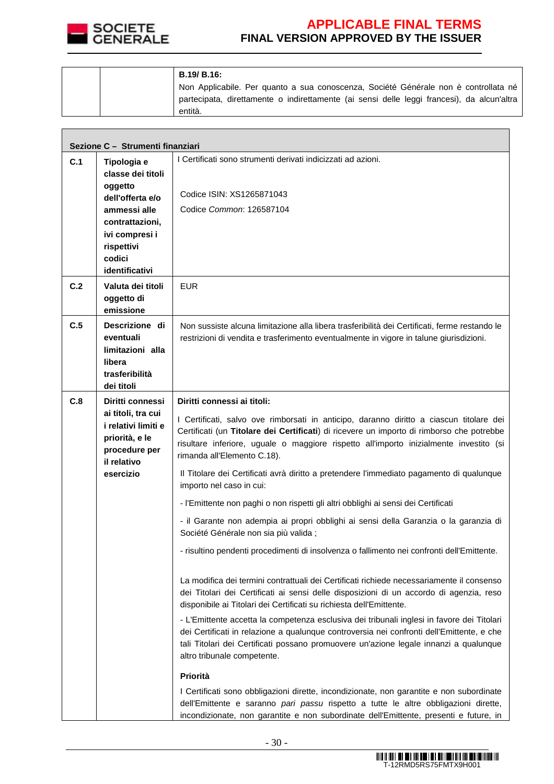

**The Co** 

# **APPLICABLE FINAL TERMS FINAL VERSION APPROVED BY THE ISSUER**

 $\overline{\phantom{0}}$ 

|  | <b>B.19/ B.16:</b>                                                                         |
|--|--------------------------------------------------------------------------------------------|
|  | Non Applicabile. Per quanto a sua conoscenza, Société Générale non è controllata né        |
|  | partecipata, direttamente o indirettamente (ai sensi delle leggi francesi), da alcun'altra |
|  | entità.                                                                                    |

| Sezione C - Strumenti finanziari |                                                                                                                              |                                                                                                                                                                                                                                                                                                                 |  |  |  |
|----------------------------------|------------------------------------------------------------------------------------------------------------------------------|-----------------------------------------------------------------------------------------------------------------------------------------------------------------------------------------------------------------------------------------------------------------------------------------------------------------|--|--|--|
| C.1                              | Tipologia e<br>classe dei titoli<br>oggetto<br>dell'offerta e/o                                                              | I Certificati sono strumenti derivati indicizzati ad azioni.                                                                                                                                                                                                                                                    |  |  |  |
|                                  |                                                                                                                              | Codice ISIN: XS1265871043                                                                                                                                                                                                                                                                                       |  |  |  |
|                                  | ammessi alle                                                                                                                 | Codice Common: 126587104                                                                                                                                                                                                                                                                                        |  |  |  |
|                                  | contrattazioni,<br>ivi compresi i                                                                                            |                                                                                                                                                                                                                                                                                                                 |  |  |  |
|                                  | rispettivi                                                                                                                   |                                                                                                                                                                                                                                                                                                                 |  |  |  |
|                                  | codici<br>identificativi                                                                                                     |                                                                                                                                                                                                                                                                                                                 |  |  |  |
| C.2                              | Valuta dei titoli                                                                                                            | <b>EUR</b>                                                                                                                                                                                                                                                                                                      |  |  |  |
|                                  | oggetto di<br>emissione                                                                                                      |                                                                                                                                                                                                                                                                                                                 |  |  |  |
| C.5                              | Descrizione di<br>eventuali                                                                                                  | Non sussiste alcuna limitazione alla libera trasferibilità dei Certificati, ferme restando le<br>restrizioni di vendita e trasferimento eventualmente in vigore in talune giurisdizioni.                                                                                                                        |  |  |  |
|                                  | limitazioni alla                                                                                                             |                                                                                                                                                                                                                                                                                                                 |  |  |  |
|                                  | libera<br>trasferibilità                                                                                                     |                                                                                                                                                                                                                                                                                                                 |  |  |  |
|                                  | dei titoli                                                                                                                   |                                                                                                                                                                                                                                                                                                                 |  |  |  |
| C.8                              | Diritti connessi<br>ai titoli, tra cui<br>i relativi limiti e<br>priorità, e le<br>procedure per<br>il relativo<br>esercizio | Diritti connessi ai titoli:                                                                                                                                                                                                                                                                                     |  |  |  |
|                                  |                                                                                                                              | I Certificati, salvo ove rimborsati in anticipo, daranno diritto a ciascun titolare dei<br>Certificati (un Titolare dei Certificati) di ricevere un importo di rimborso che potrebbe<br>risultare inferiore, uguale o maggiore rispetto all'importo inizialmente investito (si<br>rimanda all'Elemento C.18).   |  |  |  |
|                                  |                                                                                                                              | Il Titolare dei Certificati avrà diritto a pretendere l'immediato pagamento di qualunque<br>importo nel caso in cui:                                                                                                                                                                                            |  |  |  |
|                                  |                                                                                                                              | - l'Emittente non paghi o non rispetti gli altri obblighi ai sensi dei Certificati                                                                                                                                                                                                                              |  |  |  |
|                                  |                                                                                                                              | - il Garante non adempia ai propri obblighi ai sensi della Garanzia o la garanzia di<br>Société Générale non sia più valida ;                                                                                                                                                                                   |  |  |  |
|                                  |                                                                                                                              | - risultino pendenti procedimenti di insolvenza o fallimento nei confronti dell'Emittente.                                                                                                                                                                                                                      |  |  |  |
|                                  |                                                                                                                              | La modifica dei termini contrattuali dei Certificati richiede necessariamente il consenso<br>dei Titolari dei Certificati ai sensi delle disposizioni di un accordo di agenzia, reso<br>disponibile ai Titolari dei Certificati su richiesta dell'Emittente.                                                    |  |  |  |
|                                  |                                                                                                                              | - L'Emittente accetta la competenza esclusiva dei tribunali inglesi in favore dei Titolari<br>dei Certificati in relazione a qualunque controversia nei confronti dell'Emittente, e che<br>tali Titolari dei Certificati possano promuovere un'azione legale innanzi a qualunque<br>altro tribunale competente. |  |  |  |
|                                  |                                                                                                                              | Priorità                                                                                                                                                                                                                                                                                                        |  |  |  |
|                                  |                                                                                                                              | I Certificati sono obbligazioni dirette, incondizionate, non garantite e non subordinate<br>dell'Emittente e saranno pari passu rispetto a tutte le altre obbligazioni dirette,<br>incondizionate, non garantite e non subordinate dell'Emittente, presenti e future, in                                        |  |  |  |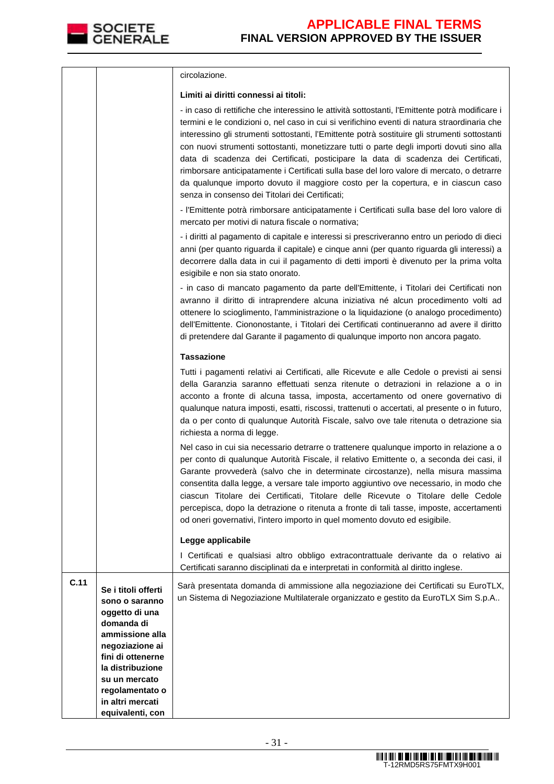

|      |                                                                                          | circolazione.                                                                                                                                                                                                                                                                                                                                                                                                                                                                                                                                                                                                                                                                                                             |
|------|------------------------------------------------------------------------------------------|---------------------------------------------------------------------------------------------------------------------------------------------------------------------------------------------------------------------------------------------------------------------------------------------------------------------------------------------------------------------------------------------------------------------------------------------------------------------------------------------------------------------------------------------------------------------------------------------------------------------------------------------------------------------------------------------------------------------------|
|      |                                                                                          | Limiti ai diritti connessi ai titoli:                                                                                                                                                                                                                                                                                                                                                                                                                                                                                                                                                                                                                                                                                     |
|      |                                                                                          | - in caso di rettifiche che interessino le attività sottostanti, l'Emittente potrà modificare i<br>termini e le condizioni o, nel caso in cui si verifichino eventi di natura straordinaria che<br>interessino gli strumenti sottostanti, l'Emittente potrà sostituire gli strumenti sottostanti<br>con nuovi strumenti sottostanti, monetizzare tutti o parte degli importi dovuti sino alla<br>data di scadenza dei Certificati, posticipare la data di scadenza dei Certificati,<br>rimborsare anticipatamente i Certificati sulla base del loro valore di mercato, o detrarre<br>da qualunque importo dovuto il maggiore costo per la copertura, e in ciascun caso<br>senza in consenso dei Titolari dei Certificati; |
|      |                                                                                          | - l'Emittente potrà rimborsare anticipatamente i Certificati sulla base del loro valore di<br>mercato per motivi di natura fiscale o normativa;                                                                                                                                                                                                                                                                                                                                                                                                                                                                                                                                                                           |
|      |                                                                                          | - i diritti al pagamento di capitale e interessi si prescriveranno entro un periodo di dieci<br>anni (per quanto riguarda il capitale) e cinque anni (per quanto riguarda gli interessi) a<br>decorrere dalla data in cui il pagamento di detti importi è divenuto per la prima volta<br>esigibile e non sia stato onorato.                                                                                                                                                                                                                                                                                                                                                                                               |
|      |                                                                                          | - in caso di mancato pagamento da parte dell'Emittente, i Titolari dei Certificati non<br>avranno il diritto di intraprendere alcuna iniziativa né alcun procedimento volti ad<br>ottenere lo scioglimento, l'amministrazione o la liquidazione (o analogo procedimento)<br>dell'Emittente. Ciononostante, i Titolari dei Certificati continueranno ad avere il diritto<br>di pretendere dal Garante il pagamento di qualunque importo non ancora pagato.                                                                                                                                                                                                                                                                 |
|      |                                                                                          | <b>Tassazione</b>                                                                                                                                                                                                                                                                                                                                                                                                                                                                                                                                                                                                                                                                                                         |
|      |                                                                                          | Tutti i pagamenti relativi ai Certificati, alle Ricevute e alle Cedole o previsti ai sensi<br>della Garanzia saranno effettuati senza ritenute o detrazioni in relazione a o in<br>acconto a fronte di alcuna tassa, imposta, accertamento od onere governativo di<br>qualunque natura imposti, esatti, riscossi, trattenuti o accertati, al presente o in futuro,<br>da o per conto di qualunque Autorità Fiscale, salvo ove tale ritenuta o detrazione sia<br>richiesta a norma di legge.                                                                                                                                                                                                                               |
|      |                                                                                          | Nel caso in cui sia necessario detrarre o trattenere qualunque importo in relazione a o<br>per conto di qualunque Autorità Fiscale, il relativo Emittente o, a seconda dei casi, il<br>Garante provvederà (salvo che in determinate circostanze), nella misura massima<br>consentita dalla legge, a versare tale importo aggiuntivo ove necessario, in modo che<br>ciascun Titolare dei Certificati, Titolare delle Ricevute o Titolare delle Cedole<br>percepisca, dopo la detrazione o ritenuta a fronte di tali tasse, imposte, accertamenti<br>od oneri governativi, l'intero importo in quel momento dovuto ed esigibile.                                                                                            |
|      |                                                                                          | Legge applicabile                                                                                                                                                                                                                                                                                                                                                                                                                                                                                                                                                                                                                                                                                                         |
|      |                                                                                          | I Certificati e qualsiasi altro obbligo extracontrattuale derivante da o relativo ai<br>Certificati saranno disciplinati da e interpretati in conformità al diritto inglese.                                                                                                                                                                                                                                                                                                                                                                                                                                                                                                                                              |
| C.11 | Se i titoli offerti<br>sono o saranno<br>oggetto di una<br>domanda di<br>ammissione alla | Sarà presentata domanda di ammissione alla negoziazione dei Certificati su EuroTLX,<br>un Sistema di Negoziazione Multilaterale organizzato e gestito da EuroTLX Sim S.p.A                                                                                                                                                                                                                                                                                                                                                                                                                                                                                                                                                |
|      | negoziazione ai                                                                          |                                                                                                                                                                                                                                                                                                                                                                                                                                                                                                                                                                                                                                                                                                                           |
|      | fini di ottenerne<br>la distribuzione                                                    |                                                                                                                                                                                                                                                                                                                                                                                                                                                                                                                                                                                                                                                                                                                           |
|      | su un mercato                                                                            |                                                                                                                                                                                                                                                                                                                                                                                                                                                                                                                                                                                                                                                                                                                           |
|      | regolamentato o<br>in altri mercati                                                      |                                                                                                                                                                                                                                                                                                                                                                                                                                                                                                                                                                                                                                                                                                                           |
|      | equivalenti, con                                                                         |                                                                                                                                                                                                                                                                                                                                                                                                                                                                                                                                                                                                                                                                                                                           |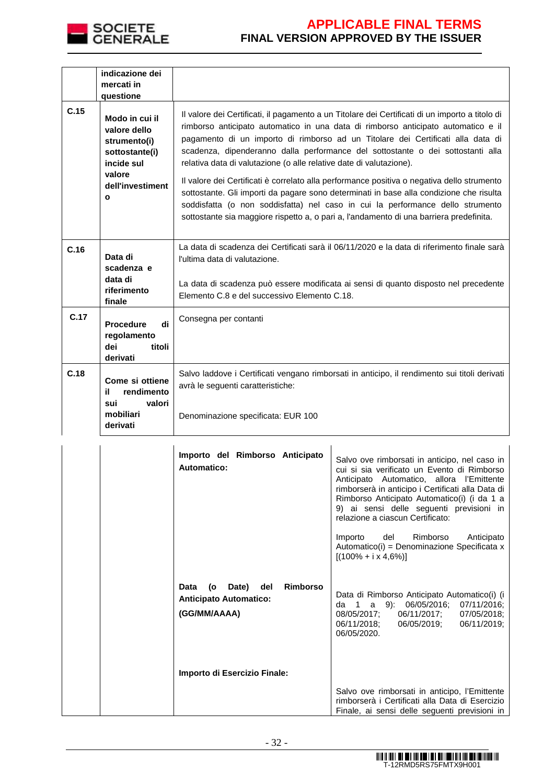

|      | indicazione dei<br>mercati in<br>questione                                                                                   |                                                                                                                                                                                                                                                                                                                                                                                                                                   |
|------|------------------------------------------------------------------------------------------------------------------------------|-----------------------------------------------------------------------------------------------------------------------------------------------------------------------------------------------------------------------------------------------------------------------------------------------------------------------------------------------------------------------------------------------------------------------------------|
| C.15 | Modo in cui il<br>valore dello<br>strumento(i)<br>sottostante(i)<br>incide sul<br>valore<br>dell'investiment<br>$\mathbf{o}$ | Il valore dei Certificati, il pagamento a un Titolare dei Certificati di un importo a titolo di<br>rimborso anticipato automatico in una data di rimborso anticipato automatico e il<br>pagamento di un importo di rimborso ad un Titolare dei Certificati alla data di<br>scadenza, dipenderanno dalla performance del sottostante o dei sottostanti alla<br>relativa data di valutazione (o alle relative date di valutazione). |
|      |                                                                                                                              | Il valore dei Certificati è correlato alla performance positiva o negativa dello strumento<br>sottostante. Gli importi da pagare sono determinati in base alla condizione che risulta<br>soddisfatta (o non soddisfatta) nel caso in cui la performance dello strumento<br>sottostante sia maggiore rispetto a, o pari a, l'andamento di una barriera predefinita.                                                                |
| C.16 | Data di<br>scadenza e                                                                                                        | La data di scadenza dei Certificati sarà il 06/11/2020 e la data di riferimento finale sarà<br>l'ultima data di valutazione.                                                                                                                                                                                                                                                                                                      |
|      | data di<br>riferimento<br>finale                                                                                             | La data di scadenza può essere modificata ai sensi di quanto disposto nel precedente<br>Elemento C.8 e del successivo Elemento C.18.                                                                                                                                                                                                                                                                                              |
| C.17 | di<br><b>Procedure</b><br>regolamento<br>dei<br>titoli<br>derivati                                                           | Consegna per contanti                                                                                                                                                                                                                                                                                                                                                                                                             |
| C.18 | Come si ottiene<br>il.<br>rendimento                                                                                         | Salvo laddove i Certificati vengano rimborsati in anticipo, il rendimento sui titoli derivati<br>avrà le seguenti caratteristiche:                                                                                                                                                                                                                                                                                                |
|      | valori<br>sui<br>mobiliari<br>derivati                                                                                       | Denominazione specificata: EUR 100                                                                                                                                                                                                                                                                                                                                                                                                |

| Importo del Rimborso Anticipato<br>Automatico:                                                 | Salvo ove rimborsati in anticipo, nel caso in<br>cui si sia verificato un Evento di Rimborso<br>Anticipato Automatico, allora l'Emittente<br>rimborserà in anticipo i Certificati alla Data di<br>Rimborso Anticipato Automatico(i) (i da 1 a<br>9) ai sensi delle seguenti previsioni in<br>relazione a ciascun Certificato: |
|------------------------------------------------------------------------------------------------|-------------------------------------------------------------------------------------------------------------------------------------------------------------------------------------------------------------------------------------------------------------------------------------------------------------------------------|
|                                                                                                | Rimborso<br>Importo<br>del<br>Anticipato<br>Automatico(i) = Denominazione Specificata x<br>$[(100\% + i \times 4, 6\%)]$                                                                                                                                                                                                      |
| <b>Rimborso</b><br>Date)<br>del<br>Data<br>(o<br><b>Anticipato Automatico:</b><br>(GG/MM/AAAA) | Data di Rimborso Anticipato Automatico(i) (i<br>da 1<br>a 9): 06/05/2016; 07/11/2016;<br>06/11/2017; 07/05/2018;<br>08/05/2017;<br>06/11/2018;<br>06/05/2019;<br>06/11/2019;<br>06/05/2020.                                                                                                                                   |
| Importo di Esercizio Finale:                                                                   |                                                                                                                                                                                                                                                                                                                               |
|                                                                                                | Salvo ove rimborsati in anticipo, l'Emittente<br>rimborserà i Certificati alla Data di Esercizio<br>Finale, ai sensi delle seguenti previsioni in                                                                                                                                                                             |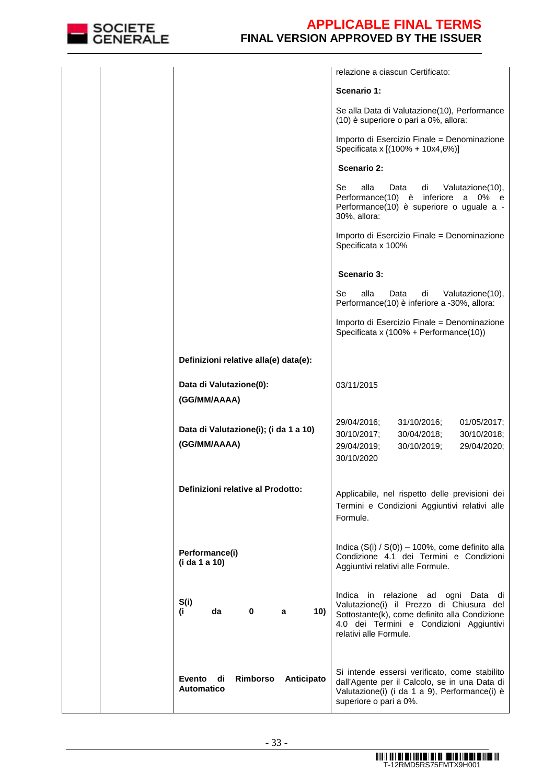

|                                                             | relazione a ciascun Certificato:                                                                                                                                                                         |
|-------------------------------------------------------------|----------------------------------------------------------------------------------------------------------------------------------------------------------------------------------------------------------|
|                                                             | Scenario 1:                                                                                                                                                                                              |
|                                                             | Se alla Data di Valutazione(10), Performance<br>(10) è superiore o pari a 0%, allora:                                                                                                                    |
|                                                             | Importo di Esercizio Finale = Denominazione<br>Specificata x [(100% + 10x4,6%)]                                                                                                                          |
|                                                             | Scenario 2:                                                                                                                                                                                              |
|                                                             | alla<br>Se<br>Data<br>di<br>Valutazione(10),<br>Performance(10) è<br>inferiore<br>a<br>0%<br>e<br>Performance(10) è superiore o uguale a -<br>30%, allora:                                               |
|                                                             | Importo di Esercizio Finale = Denominazione<br>Specificata x 100%                                                                                                                                        |
|                                                             | Scenario 3:                                                                                                                                                                                              |
|                                                             | Se<br>alla<br>Valutazione(10),<br>Data<br>di<br>Performance(10) è inferiore a -30%, allora:                                                                                                              |
|                                                             | Importo di Esercizio Finale = Denominazione<br>Specificata x (100% + Performance(10))                                                                                                                    |
| Definizioni relative alla(e) data(e):                       |                                                                                                                                                                                                          |
| Data di Valutazione(0):<br>(GG/MM/AAAA)                     | 03/11/2015                                                                                                                                                                                               |
| Data di Valutazione(i); (i da 1 a 10)<br>(GG/MM/AAAA)       | 29/04/2016;<br>31/10/2016;<br>01/05/2017;<br>30/10/2017;<br>30/04/2018;<br>30/10/2018;<br>29/04/2020;<br>29/04/2019;<br>30/10/2019;<br>30/10/2020                                                        |
| Definizioni relative al Prodotto:                           | Applicabile, nel rispetto delle previsioni dei<br>Termini e Condizioni Aggiuntivi relativi alle<br>Formule.                                                                                              |
| Performance(i)<br>(i da 1 a 10)                             | Indica $(S(i) / S(0)) - 100\%$ , come definito alla<br>Condizione 4.1 dei Termini e Condizioni<br>Aggiuntivi relativi alle Formule.                                                                      |
| S(i)<br>da<br>10)<br>(i<br>0<br>a                           | Indica in relazione ad ogni Data<br>di<br>Valutazione(i) il Prezzo di Chiusura del<br>Sottostante(k), come definito alla Condizione<br>4.0 dei Termini e Condizioni Aggiuntivi<br>relativi alle Formule. |
| Rimborso<br>Anticipato<br>Evento<br>di<br><b>Automatico</b> | Si intende essersi verificato, come stabilito<br>dall'Agente per il Calcolo, se in una Data di<br>Valutazione(i) (i da 1 a 9), Performance(i) è<br>superiore o pari a 0%.                                |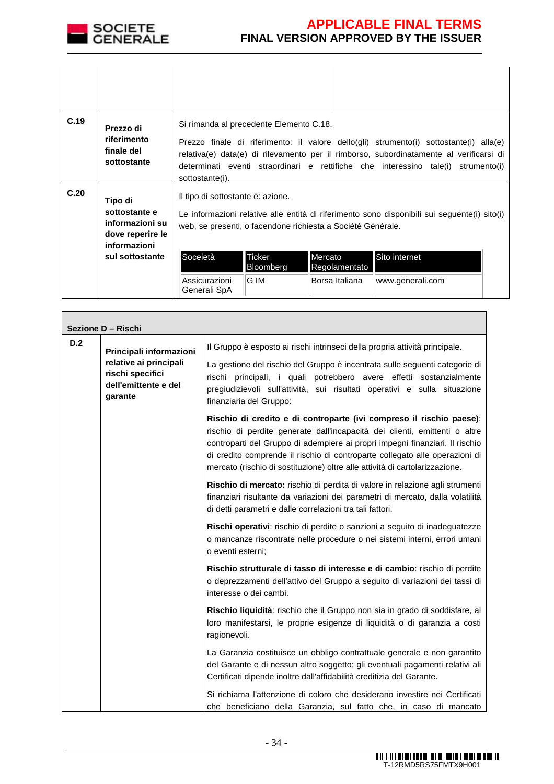

| C.19 | Prezzo di<br>riferimento<br>finale del<br>sottostante                           | Si rimanda al precedente Elemento C.18.<br>Prezzo finale di riferimento: il valore dello(gli) strumento(i) sottostante(i) alla(e)<br>relativa(e) data(e) di rilevamento per il rimborso, subordinatamente al verificarsi di<br>determinati eventi straordinari e rettifiche che interessino tale(i) strumento(i)<br>sottostante(i). |  |
|------|---------------------------------------------------------------------------------|-------------------------------------------------------------------------------------------------------------------------------------------------------------------------------------------------------------------------------------------------------------------------------------------------------------------------------------|--|
| C.20 | Tipo di<br>sottostante e<br>informazioni su<br>dove reperire le<br>informazioni | Il tipo di sottostante è: azione.<br>Le informazioni relative alle entità di riferimento sono disponibili sui seguente(i) sito(i)<br>web, se presenti, o facendone richiesta a Société Générale.                                                                                                                                    |  |
|      | sul sottostante                                                                 | Ticker<br>Soceietà<br>Sito internet<br>Mercato<br>Bloomberg<br>Regolamentato<br>G IM<br>Assicurazioni<br>Borsa Italiana<br>www.generali.com<br>Generali SpA                                                                                                                                                                         |  |

| Sezione D - Rischi |                                                                               |                                                                                                                                                                                                                                                                                                                                                                                                  |  |
|--------------------|-------------------------------------------------------------------------------|--------------------------------------------------------------------------------------------------------------------------------------------------------------------------------------------------------------------------------------------------------------------------------------------------------------------------------------------------------------------------------------------------|--|
| D.2                | Principali informazioni                                                       | Il Gruppo è esposto ai rischi intrinseci della propria attività principale.                                                                                                                                                                                                                                                                                                                      |  |
|                    | relative ai principali<br>rischi specifici<br>dell'emittente e del<br>garante | La gestione del rischio del Gruppo è incentrata sulle seguenti categorie di<br>rischi principali, i quali potrebbero avere effetti sostanzialmente<br>pregiudizievoli sull'attività, sui risultati operativi e sulla situazione<br>finanziaria del Gruppo:                                                                                                                                       |  |
|                    |                                                                               | Rischio di credito e di controparte (ivi compreso il rischio paese):<br>rischio di perdite generate dall'incapacità dei clienti, emittenti o altre<br>controparti del Gruppo di adempiere ai propri impegni finanziari. Il rischio<br>di credito comprende il rischio di controparte collegato alle operazioni di<br>mercato (rischio di sostituzione) oltre alle attività di cartolarizzazione. |  |
|                    |                                                                               | Rischio di mercato: rischio di perdita di valore in relazione agli strumenti<br>finanziari risultante da variazioni dei parametri di mercato, dalla volatilità<br>di detti parametri e dalle correlazioni tra tali fattori.                                                                                                                                                                      |  |
|                    |                                                                               | Rischi operativi: rischio di perdite o sanzioni a seguito di inadeguatezze<br>o mancanze riscontrate nelle procedure o nei sistemi interni, errori umani<br>o eventi esterni;                                                                                                                                                                                                                    |  |
|                    |                                                                               | Rischio strutturale di tasso di interesse e di cambio: rischio di perdite<br>o deprezzamenti dell'attivo del Gruppo a seguito di variazioni dei tassi di<br>interesse o dei cambi.                                                                                                                                                                                                               |  |
|                    |                                                                               | Rischio liquidità: rischio che il Gruppo non sia in grado di soddisfare, al<br>loro manifestarsi, le proprie esigenze di liquidità o di garanzia a costi<br>ragionevoli.                                                                                                                                                                                                                         |  |
|                    |                                                                               | La Garanzia costituisce un obbligo contrattuale generale e non garantito<br>del Garante e di nessun altro soggetto; gli eventuali pagamenti relativi ali<br>Certificati dipende inoltre dall'affidabilità creditizia del Garante.                                                                                                                                                                |  |
|                    |                                                                               | Si richiama l'attenzione di coloro che desiderano investire nei Certificati<br>che beneficiano della Garanzia, sul fatto che, in caso di mancato                                                                                                                                                                                                                                                 |  |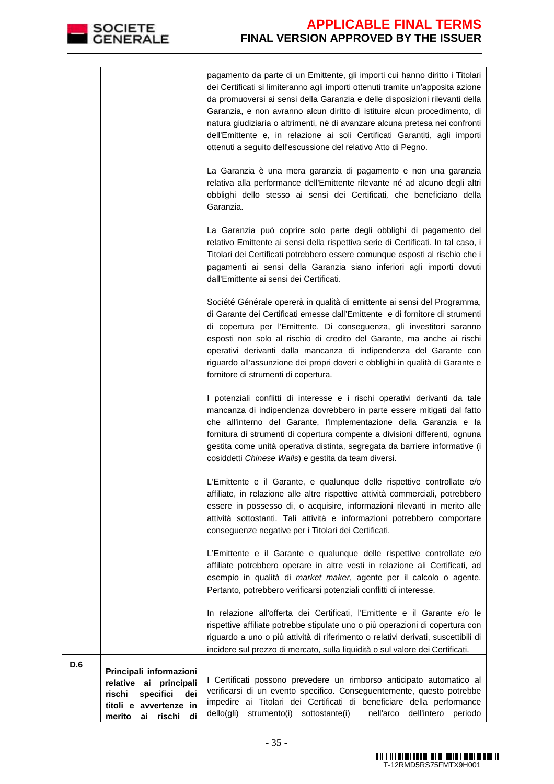

|     |                                                                                                                                        | pagamento da parte di un Emittente, gli importi cui hanno diritto i Titolari<br>dei Certificati si limiteranno agli importi ottenuti tramite un'apposita azione<br>da promuoversi ai sensi della Garanzia e delle disposizioni rilevanti della<br>Garanzia, e non avranno alcun diritto di istituire alcun procedimento, di<br>natura giudiziaria o altrimenti, né di avanzare alcuna pretesa nei confronti<br>dell'Emittente e, in relazione ai soli Certificati Garantiti, agli importi<br>ottenuti a seguito dell'escussione del relativo Atto di Pegno. |
|-----|----------------------------------------------------------------------------------------------------------------------------------------|-------------------------------------------------------------------------------------------------------------------------------------------------------------------------------------------------------------------------------------------------------------------------------------------------------------------------------------------------------------------------------------------------------------------------------------------------------------------------------------------------------------------------------------------------------------|
|     |                                                                                                                                        | La Garanzia è una mera garanzia di pagamento e non una garanzia<br>relativa alla performance dell'Emittente rilevante né ad alcuno degli altri<br>obblighi dello stesso ai sensi dei Certificati, che beneficiano della<br>Garanzia.                                                                                                                                                                                                                                                                                                                        |
|     |                                                                                                                                        | La Garanzia può coprire solo parte degli obblighi di pagamento del<br>relativo Emittente ai sensi della rispettiva serie di Certificati. In tal caso, i<br>Titolari dei Certificati potrebbero essere comunque esposti al rischio che i<br>pagamenti ai sensi della Garanzia siano inferiori agli importi dovuti<br>dall'Emittente ai sensi dei Certificati.                                                                                                                                                                                                |
|     |                                                                                                                                        | Société Générale opererà in qualità di emittente ai sensi del Programma,<br>di Garante dei Certificati emesse dall'Emittente e di fornitore di strumenti<br>di copertura per l'Emittente. Di conseguenza, gli investitori saranno<br>esposti non solo al rischio di credito del Garante, ma anche ai rischi<br>operativi derivanti dalla mancanza di indipendenza del Garante con<br>riguardo all'assunzione dei propri doveri e obblighi in qualità di Garante e<br>fornitore di strumenti di copertura.                                                   |
|     |                                                                                                                                        | I potenziali conflitti di interesse e i rischi operativi derivanti da tale<br>mancanza di indipendenza dovrebbero in parte essere mitigati dal fatto<br>che all'interno del Garante, l'implementazione della Garanzia e la<br>fornitura di strumenti di copertura compente a divisioni differenti, ognuna<br>gestita come unità operativa distinta, segregata da barriere informative (i<br>cosiddetti Chinese Walls) e gestita da team diversi.                                                                                                            |
|     |                                                                                                                                        | L'Emittente e il Garante, e qualunque delle rispettive controllate e/o<br>affiliate, in relazione alle altre rispettive attività commerciali, potrebbero<br>essere in possesso di, o acquisire, informazioni rilevanti in merito alle<br>attività sottostanti. Tali attività e informazioni potrebbero comportare<br>conseguenze negative per i Titolari dei Certificati.                                                                                                                                                                                   |
|     |                                                                                                                                        | L'Emittente e il Garante e qualunque delle rispettive controllate e/o<br>affiliate potrebbero operare in altre vesti in relazione ali Certificati, ad<br>esempio in qualità di market maker, agente per il calcolo o agente.<br>Pertanto, potrebbero verificarsi potenziali conflitti di interesse.                                                                                                                                                                                                                                                         |
|     |                                                                                                                                        | In relazione all'offerta dei Certificati, l'Emittente e il Garante e/o le<br>rispettive affiliate potrebbe stipulate uno o più operazioni di copertura con<br>riguardo a uno o più attività di riferimento o relativi derivati, suscettibili di<br>incidere sul prezzo di mercato, sulla liquidità o sul valore dei Certificati.                                                                                                                                                                                                                            |
| D.6 | Principali informazioni<br>relative ai<br>principali<br>rischi<br>specifici<br>dei<br>titoli e avvertenze in<br>merito ai rischi<br>di | I Certificati possono prevedere un rimborso anticipato automatico al<br>verificarsi di un evento specifico. Conseguentemente, questo potrebbe<br>impedire ai Titolari dei Certificati di beneficiare della performance<br>dello(gli)<br>nell'arco<br>strumento(i)<br>sottostante(i)<br>dell'intero<br>periodo                                                                                                                                                                                                                                               |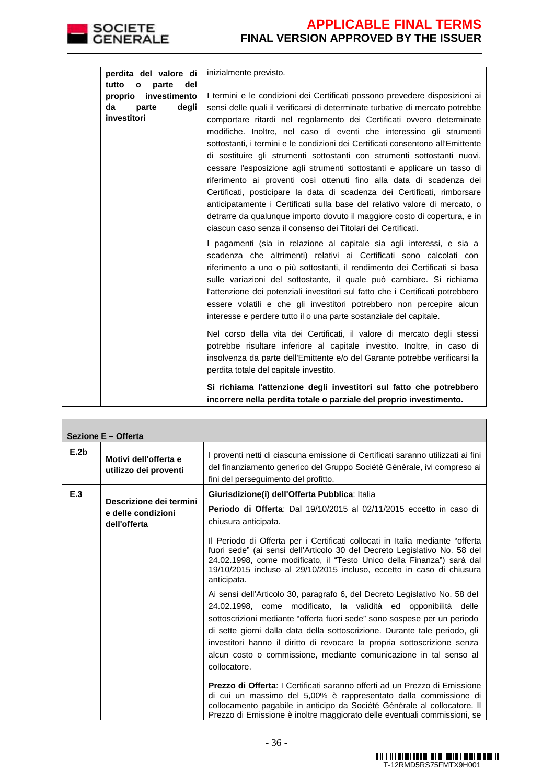

Г

|         | perdita del valore di        | inizialmente previsto.                                                                                                                                                                                                                                                                                                                                                                                                                                                                                                                                                                                                                                                                   |
|---------|------------------------------|------------------------------------------------------------------------------------------------------------------------------------------------------------------------------------------------------------------------------------------------------------------------------------------------------------------------------------------------------------------------------------------------------------------------------------------------------------------------------------------------------------------------------------------------------------------------------------------------------------------------------------------------------------------------------------------|
| tutto   | del<br>$\mathbf{o}$<br>parte |                                                                                                                                                                                                                                                                                                                                                                                                                                                                                                                                                                                                                                                                                          |
| proprio | investimento                 | I termini e le condizioni dei Certificati possono prevedere disposizioni ai                                                                                                                                                                                                                                                                                                                                                                                                                                                                                                                                                                                                              |
| da      | degli<br>parte               | sensi delle quali il verificarsi di determinate turbative di mercato potrebbe                                                                                                                                                                                                                                                                                                                                                                                                                                                                                                                                                                                                            |
|         | investitori                  | comportare ritardi nel regolamento dei Certificati ovvero determinate                                                                                                                                                                                                                                                                                                                                                                                                                                                                                                                                                                                                                    |
|         |                              | modifiche. Inoltre, nel caso di eventi che interessino gli strumenti                                                                                                                                                                                                                                                                                                                                                                                                                                                                                                                                                                                                                     |
|         |                              | sottostanti, i termini e le condizioni dei Certificati consentono all'Emittente                                                                                                                                                                                                                                                                                                                                                                                                                                                                                                                                                                                                          |
|         |                              | di sostituire gli strumenti sottostanti con strumenti sottostanti nuovi,                                                                                                                                                                                                                                                                                                                                                                                                                                                                                                                                                                                                                 |
|         |                              | cessare l'esposizione agli strumenti sottostanti e applicare un tasso di                                                                                                                                                                                                                                                                                                                                                                                                                                                                                                                                                                                                                 |
|         |                              | riferimento ai proventi così ottenuti fino alla data di scadenza dei                                                                                                                                                                                                                                                                                                                                                                                                                                                                                                                                                                                                                     |
|         |                              | Certificati, posticipare la data di scadenza dei Certificati, rimborsare                                                                                                                                                                                                                                                                                                                                                                                                                                                                                                                                                                                                                 |
|         |                              | anticipatamente i Certificati sulla base del relativo valore di mercato, o                                                                                                                                                                                                                                                                                                                                                                                                                                                                                                                                                                                                               |
|         |                              | detrarre da qualunque importo dovuto il maggiore costo di copertura, e in                                                                                                                                                                                                                                                                                                                                                                                                                                                                                                                                                                                                                |
|         |                              | ciascun caso senza il consenso dei Titolari dei Certificati.                                                                                                                                                                                                                                                                                                                                                                                                                                                                                                                                                                                                                             |
|         |                              | I pagamenti (sia in relazione al capitale sia agli interessi, e sia a<br>scadenza che altrimenti) relativi ai Certificati sono calcolati con<br>riferimento a uno o più sottostanti, il rendimento dei Certificati si basa<br>sulle variazioni del sottostante, il quale può cambiare. Si richiama<br>l'attenzione dei potenziali investitori sul fatto che i Certificati potrebbero<br>essere volatili e che gli investitori potrebbero non percepire alcun<br>interesse e perdere tutto il o una parte sostanziale del capitale.<br>Nel corso della vita dei Certificati, il valore di mercato degli stessi<br>potrebbe risultare inferiore al capitale investito. Inoltre, in caso di |
|         |                              | insolvenza da parte dell'Emittente e/o del Garante potrebbe verificarsi la<br>perdita totale del capitale investito.                                                                                                                                                                                                                                                                                                                                                                                                                                                                                                                                                                     |
|         |                              | Si richiama l'attenzione degli investitori sul fatto che potrebbero<br>incorrere nella perdita totale o parziale del proprio investimento.                                                                                                                                                                                                                                                                                                                                                                                                                                                                                                                                               |

| Sezione E - Offerta |                                                               |                                                                                                                                                                                                                                                                                                                                                                                                                                                                         |  |
|---------------------|---------------------------------------------------------------|-------------------------------------------------------------------------------------------------------------------------------------------------------------------------------------------------------------------------------------------------------------------------------------------------------------------------------------------------------------------------------------------------------------------------------------------------------------------------|--|
| E.2b                | Motivi dell'offerta e<br>utilizzo dei proventi                | I proventi netti di ciascuna emissione di Certificati saranno utilizzati ai fini<br>del finanziamento generico del Gruppo Société Générale, ivi compreso ai<br>fini del perseguimento del profitto.                                                                                                                                                                                                                                                                     |  |
| E.3                 | Descrizione dei termini<br>e delle condizioni<br>dell'offerta | Giurisdizione(i) dell'Offerta Pubblica: Italia<br><b>Periodo di Offerta:</b> Dal 19/10/2015 al 02/11/2015 eccetto in caso di<br>chiusura anticipata.                                                                                                                                                                                                                                                                                                                    |  |
|                     |                                                               | Il Periodo di Offerta per i Certificati collocati in Italia mediante "offerta"<br>fuori sede" (ai sensi dell'Articolo 30 del Decreto Legislativo No. 58 del<br>24.02.1998, come modificato, il "Testo Unico della Finanza") sarà dal<br>19/10/2015 incluso al 29/10/2015 incluso, eccetto in caso di chiusura<br>anticipata.                                                                                                                                            |  |
|                     |                                                               | Ai sensi dell'Articolo 30, paragrafo 6, del Decreto Legislativo No. 58 del<br>24.02.1998, come modificato, la validità ed opponibilità delle<br>sottoscrizioni mediante "offerta fuori sede" sono sospese per un periodo<br>di sette giorni dalla data della sottoscrizione. Durante tale periodo, gli<br>investitori hanno il diritto di revocare la propria sottoscrizione senza<br>alcun costo o commissione, mediante comunicazione in tal senso al<br>collocatore. |  |
|                     |                                                               | <b>Prezzo di Offerta:</b> I Certificati saranno offerti ad un Prezzo di Emissione<br>di cui un massimo del 5,00% è rappresentato dalla commissione di<br>collocamento pagabile in anticipo da Société Générale al collocatore. Il<br>Prezzo di Emissione è inoltre maggiorato delle eventuali commissioni, se                                                                                                                                                           |  |

٦